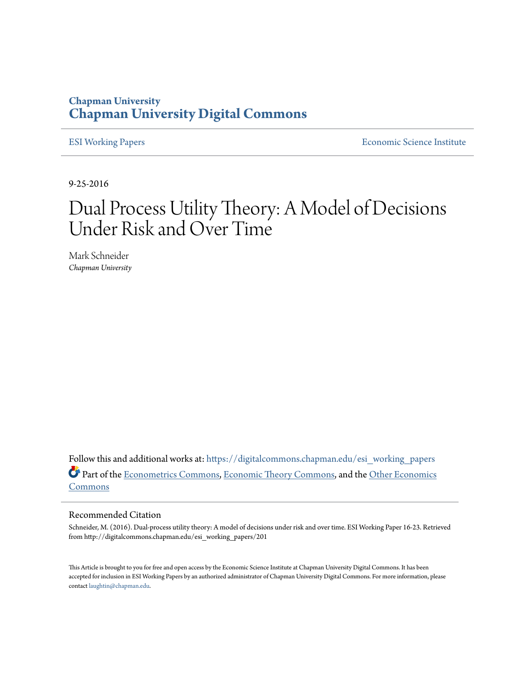# **Chapman University [Chapman University Digital Commons](https://digitalcommons.chapman.edu?utm_source=digitalcommons.chapman.edu%2Fesi_working_papers%2F201&utm_medium=PDF&utm_campaign=PDFCoverPages)**

[ESI Working Papers](https://digitalcommons.chapman.edu/esi_working_papers?utm_source=digitalcommons.chapman.edu%2Fesi_working_papers%2F201&utm_medium=PDF&utm_campaign=PDFCoverPages) **[Economic Science Institute](https://digitalcommons.chapman.edu/esi?utm_source=digitalcommons.chapman.edu%2Fesi_working_papers%2F201&utm_medium=PDF&utm_campaign=PDFCoverPages)** 

9-25-2016

# Dual Process Utility Theory: A Model of Decisions Under Risk and Over Time

Mark Schneider *Chapman University*

Follow this and additional works at: [https://digitalcommons.chapman.edu/esi\\_working\\_papers](https://digitalcommons.chapman.edu/esi_working_papers?utm_source=digitalcommons.chapman.edu%2Fesi_working_papers%2F201&utm_medium=PDF&utm_campaign=PDFCoverPages) Part of the [Econometrics Commons,](http://network.bepress.com/hgg/discipline/342?utm_source=digitalcommons.chapman.edu%2Fesi_working_papers%2F201&utm_medium=PDF&utm_campaign=PDFCoverPages) [Economic Theory Commons](http://network.bepress.com/hgg/discipline/344?utm_source=digitalcommons.chapman.edu%2Fesi_working_papers%2F201&utm_medium=PDF&utm_campaign=PDFCoverPages), and the [Other Economics](http://network.bepress.com/hgg/discipline/353?utm_source=digitalcommons.chapman.edu%2Fesi_working_papers%2F201&utm_medium=PDF&utm_campaign=PDFCoverPages) [Commons](http://network.bepress.com/hgg/discipline/353?utm_source=digitalcommons.chapman.edu%2Fesi_working_papers%2F201&utm_medium=PDF&utm_campaign=PDFCoverPages)

# Recommended Citation

Schneider, M. (2016). Dual-process utility theory: A model of decisions under risk and over time. ESI Working Paper 16-23. Retrieved from http://digitalcommons.chapman.edu/esi\_working\_papers/201

This Article is brought to you for free and open access by the Economic Science Institute at Chapman University Digital Commons. It has been accepted for inclusion in ESI Working Papers by an authorized administrator of Chapman University Digital Commons. For more information, please contact [laughtin@chapman.edu](mailto:laughtin@chapman.edu).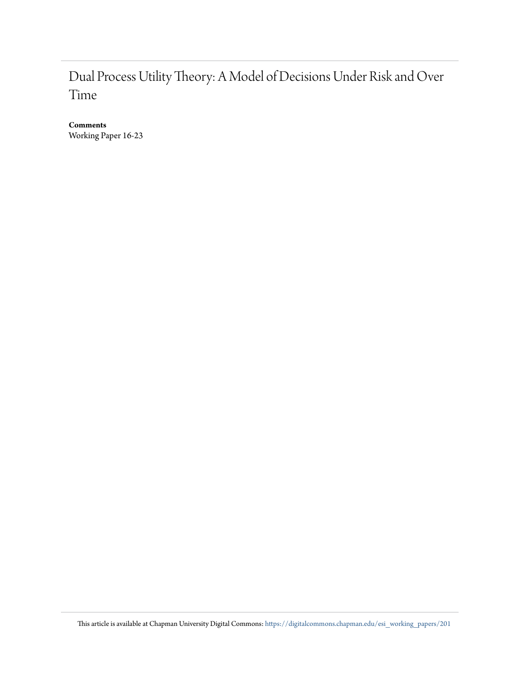# Dual Process Utility Theory: A Model of Decisions Under Risk and Over Time

**Comments**

Working Paper 16-23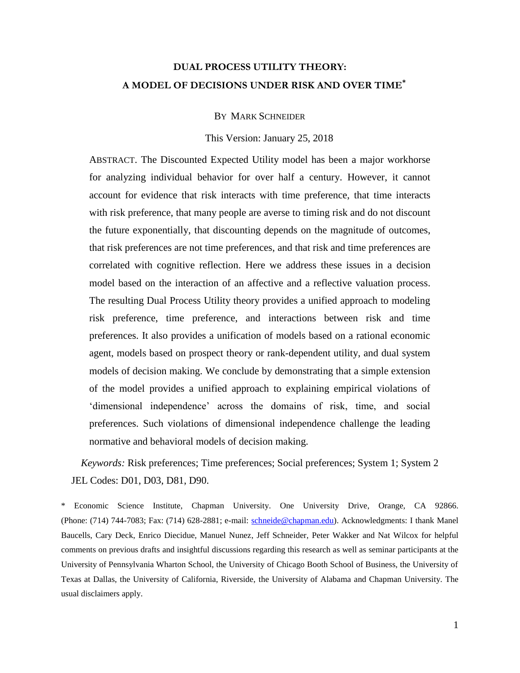# **DUAL PROCESS UTILITY THEORY: A MODEL OF DECISIONS UNDER RISK AND OVER TIME\***

BY MARK SCHNEIDER

This Version: January 25, 2018

ABSTRACT. The Discounted Expected Utility model has been a major workhorse for analyzing individual behavior for over half a century. However, it cannot account for evidence that risk interacts with time preference, that time interacts with risk preference, that many people are averse to timing risk and do not discount the future exponentially, that discounting depends on the magnitude of outcomes, that risk preferences are not time preferences, and that risk and time preferences are correlated with cognitive reflection. Here we address these issues in a decision model based on the interaction of an affective and a reflective valuation process. The resulting Dual Process Utility theory provides a unified approach to modeling risk preference, time preference, and interactions between risk and time preferences. It also provides a unification of models based on a rational economic agent, models based on prospect theory or rank-dependent utility, and dual system models of decision making. We conclude by demonstrating that a simple extension of the model provides a unified approach to explaining empirical violations of 'dimensional independence' across the domains of risk, time, and social preferences. Such violations of dimensional independence challenge the leading normative and behavioral models of decision making.

*Keywords:* Risk preferences; Time preferences; Social preferences; System 1; System 2 JEL Codes: D01, D03, D81, D90.

\* Economic Science Institute, Chapman University. One University Drive, Orange, CA 92866. (Phone: (714) 744-7083; Fax: (714) 628-2881; e-mail: [schneide@chapman.edu\)](mailto:schneide@chapman.edu). Acknowledgments: I thank Manel Baucells, Cary Deck, Enrico Diecidue, Manuel Nunez, Jeff Schneider, Peter Wakker and Nat Wilcox for helpful comments on previous drafts and insightful discussions regarding this research as well as seminar participants at the University of Pennsylvania Wharton School, the University of Chicago Booth School of Business, the University of Texas at Dallas, the University of California, Riverside, the University of Alabama and Chapman University. The usual disclaimers apply.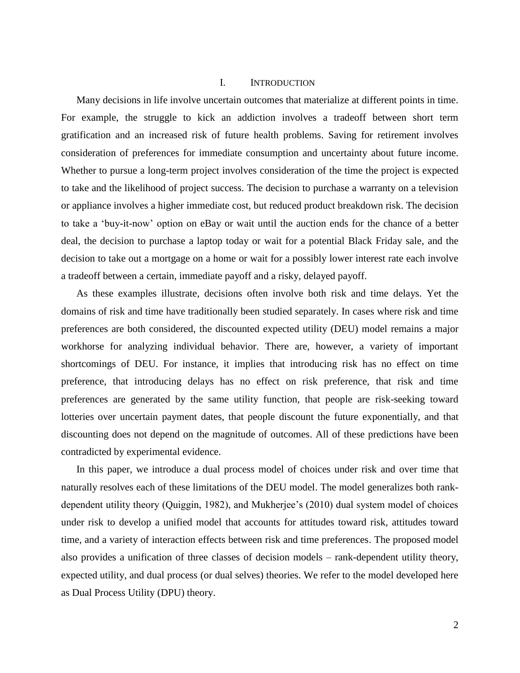#### I. INTRODUCTION

Many decisions in life involve uncertain outcomes that materialize at different points in time. For example, the struggle to kick an addiction involves a tradeoff between short term gratification and an increased risk of future health problems. Saving for retirement involves consideration of preferences for immediate consumption and uncertainty about future income. Whether to pursue a long-term project involves consideration of the time the project is expected to take and the likelihood of project success. The decision to purchase a warranty on a television or appliance involves a higher immediate cost, but reduced product breakdown risk. The decision to take a 'buy-it-now' option on eBay or wait until the auction ends for the chance of a better deal, the decision to purchase a laptop today or wait for a potential Black Friday sale, and the decision to take out a mortgage on a home or wait for a possibly lower interest rate each involve a tradeoff between a certain, immediate payoff and a risky, delayed payoff.

As these examples illustrate, decisions often involve both risk and time delays. Yet the domains of risk and time have traditionally been studied separately. In cases where risk and time preferences are both considered, the discounted expected utility (DEU) model remains a major workhorse for analyzing individual behavior. There are, however, a variety of important shortcomings of DEU. For instance, it implies that introducing risk has no effect on time preference, that introducing delays has no effect on risk preference, that risk and time preferences are generated by the same utility function, that people are risk-seeking toward lotteries over uncertain payment dates, that people discount the future exponentially, and that discounting does not depend on the magnitude of outcomes. All of these predictions have been contradicted by experimental evidence.

In this paper, we introduce a dual process model of choices under risk and over time that naturally resolves each of these limitations of the DEU model. The model generalizes both rankdependent utility theory (Quiggin, 1982), and Mukherjee's (2010) dual system model of choices under risk to develop a unified model that accounts for attitudes toward risk, attitudes toward time, and a variety of interaction effects between risk and time preferences. The proposed model also provides a unification of three classes of decision models – rank-dependent utility theory, expected utility, and dual process (or dual selves) theories. We refer to the model developed here as Dual Process Utility (DPU) theory.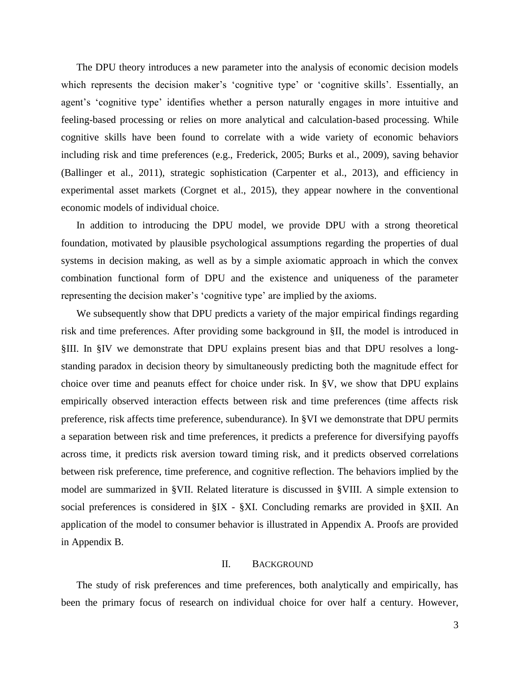The DPU theory introduces a new parameter into the analysis of economic decision models which represents the decision maker's 'cognitive type' or 'cognitive skills'. Essentially, an agent's 'cognitive type' identifies whether a person naturally engages in more intuitive and feeling-based processing or relies on more analytical and calculation-based processing. While cognitive skills have been found to correlate with a wide variety of economic behaviors including risk and time preferences (e.g., Frederick, 2005; Burks et al., 2009), saving behavior (Ballinger et al., 2011), strategic sophistication (Carpenter et al., 2013), and efficiency in experimental asset markets (Corgnet et al., 2015), they appear nowhere in the conventional economic models of individual choice.

In addition to introducing the DPU model, we provide DPU with a strong theoretical foundation, motivated by plausible psychological assumptions regarding the properties of dual systems in decision making, as well as by a simple axiomatic approach in which the convex combination functional form of DPU and the existence and uniqueness of the parameter representing the decision maker's 'cognitive type' are implied by the axioms.

We subsequently show that DPU predicts a variety of the major empirical findings regarding risk and time preferences. After providing some background in §II, the model is introduced in §III. In §IV we demonstrate that DPU explains present bias and that DPU resolves a longstanding paradox in decision theory by simultaneously predicting both the magnitude effect for choice over time and peanuts effect for choice under risk. In §V, we show that DPU explains empirically observed interaction effects between risk and time preferences (time affects risk preference, risk affects time preference, subendurance). In §VI we demonstrate that DPU permits a separation between risk and time preferences, it predicts a preference for diversifying payoffs across time, it predicts risk aversion toward timing risk, and it predicts observed correlations between risk preference, time preference, and cognitive reflection. The behaviors implied by the model are summarized in §VII. Related literature is discussed in §VIII. A simple extension to social preferences is considered in §IX - §XI. Concluding remarks are provided in §XII. An application of the model to consumer behavior is illustrated in Appendix A. Proofs are provided in Appendix B.

#### II. BACKGROUND

The study of risk preferences and time preferences, both analytically and empirically, has been the primary focus of research on individual choice for over half a century. However,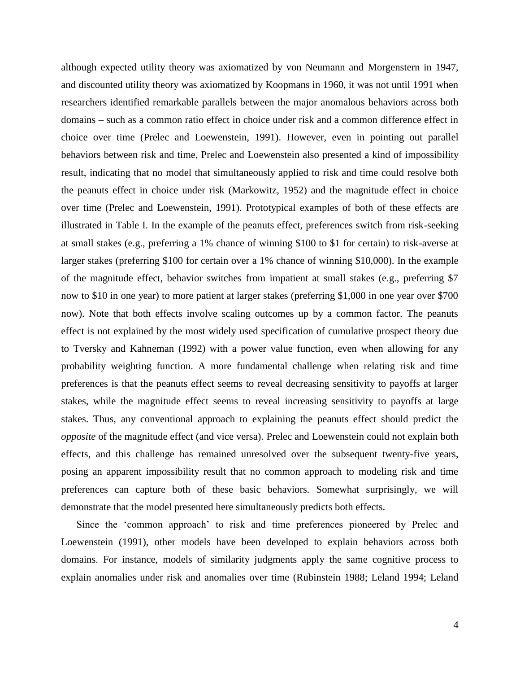although expected utility theory was axiomatized by von Neumann and Morgenstern in 1947, and discounted utility theory was axiomatized by Koopmans in 1960, it was not until 1991 when researchers identified remarkable parallels between the major anomalous behaviors across both domains – such as a common ratio effect in choice under risk and a common difference effect in choice over time (Prelec and Loewenstein, 1991). However, even in pointing out parallel behaviors between risk and time, Prelec and Loewenstein also presented a kind of impossibility result, indicating that no model that simultaneously applied to risk and time could resolve both the peanuts effect in choice under risk (Markowitz, 1952) and the magnitude effect in choice over time (Prelec and Loewenstein, 1991). Prototypical examples of both of these effects are illustrated in Table I. In the example of the peanuts effect, preferences switch from risk-seeking at small stakes (e.g., preferring a 1% chance of winning \$100 to \$1 for certain) to risk-averse at larger stakes (preferring \$100 for certain over a 1% chance of winning \$10,000). In the example of the magnitude effect, behavior switches from impatient at small stakes (e.g., preferring \$7 now to \$10 in one year) to more patient at larger stakes (preferring \$1,000 in one year over \$700 now). Note that both effects involve scaling outcomes up by a common factor. The peanuts effect is not explained by the most widely used specification of cumulative prospect theory due to Tversky and Kahneman (1992) with a power value function, even when allowing for any probability weighting function. A more fundamental challenge when relating risk and time preferences is that the peanuts effect seems to reveal decreasing sensitivity to payoffs at larger stakes, while the magnitude effect seems to reveal increasing sensitivity to payoffs at large stakes. Thus, any conventional approach to explaining the peanuts effect should predict the *opposite* of the magnitude effect (and vice versa). Prelec and Loewenstein could not explain both effects, and this challenge has remained unresolved over the subsequent twenty-five years, posing an apparent impossibility result that no common approach to modeling risk and time preferences can capture both of these basic behaviors. Somewhat surprisingly, we will demonstrate that the model presented here simultaneously predicts both effects.

Since the 'common approach' to risk and time preferences pioneered by Prelec and Loewenstein (1991), other models have been developed to explain behaviors across both domains. For instance, models of similarity judgments apply the same cognitive process to explain anomalies under risk and anomalies over time (Rubinstein 1988; Leland 1994; Leland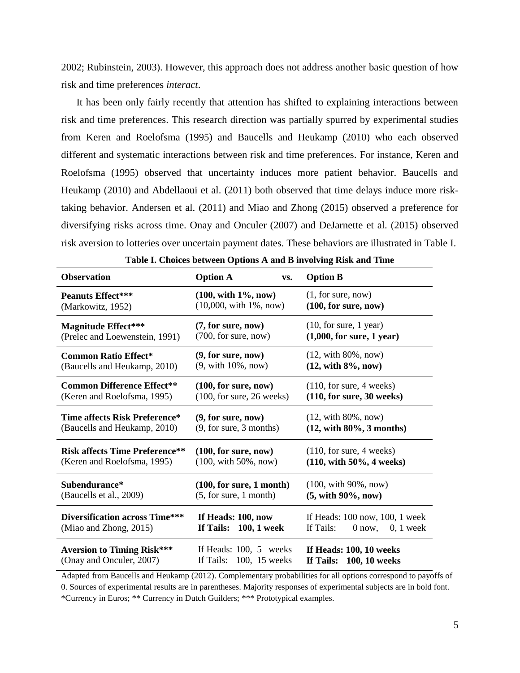2002; Rubinstein, 2003). However, this approach does not address another basic question of how risk and time preferences *interact*.

It has been only fairly recently that attention has shifted to explaining interactions between risk and time preferences. This research direction was partially spurred by experimental studies from Keren and Roelofsma (1995) and Baucells and Heukamp (2010) who each observed different and systematic interactions between risk and time preferences. For instance, Keren and Roelofsma (1995) observed that uncertainty induces more patient behavior. Baucells and Heukamp (2010) and Abdellaoui et al. (2011) both observed that time delays induce more risktaking behavior. Andersen et al. (2011) and Miao and Zhong (2015) observed a preference for diversifying risks across time. Onay and Onculer (2007) and DeJarnette et al. (2015) observed risk aversion to lotteries over uncertain payment dates. These behaviors are illustrated in Table I.

| <b>Observation</b>                                       | <b>Option A</b><br>VS.                         | <b>Option B</b>                                                        |  |
|----------------------------------------------------------|------------------------------------------------|------------------------------------------------------------------------|--|
| <b>Peanuts Effect***</b>                                 | $(100, with 1\%, now)$                         | (1, for sure, now)                                                     |  |
| (Markowitz, 1952)                                        | $(10,000, with 1\%, now)$                      | (100, for sure, now)                                                   |  |
| <b>Magnitude Effect***</b>                               | (7, for sure, now)                             | $(10, \text{ for sure}, 1 \text{ year})$                               |  |
| (Prelec and Loewenstein, 1991)                           | (700, for sure, now)                           | $(1,000,$ for sure, 1 year)                                            |  |
| <b>Common Ratio Effect*</b>                              | (9, for sure, now)                             | $(12, with 80\%, now)$                                                 |  |
| (Baucells and Heukamp, 2010)                             | $(9, with 10\%, now)$                          | $(12, with 8\%, now)$                                                  |  |
| <b>Common Difference Effect**</b>                        | $(100, \text{for sure}, \text{now})$           | $(110, \text{for sure}, 4 \text{ weeks})$                              |  |
| (Keren and Roelofsma, 1995)                              | $(100, \text{ for sure}, 26 \text{ weeks})$    | (110, for sure, 30 weeks)                                              |  |
| Time affects Risk Preference*                            | (9, for sure, now)                             | $(12, with 80\%, now)$                                                 |  |
| (Baucells and Heukamp, 2010)                             | (9, for sure, 3 months)                        | $(12, with 80\%, 3 months)$                                            |  |
| <b>Risk affects Time Preference**</b>                    | (100, for sure, now)                           | $(110, \text{for sure}, 4 \text{ weeks})$                              |  |
| (Keren and Roelofsma, 1995)                              | $(100, with 50\%, now)$                        | $(110, with 50\%, 4 weeks)$                                            |  |
| Subendurance*                                            | (100, for sure, 1 month)                       | $(100, with 90\%, now)$                                                |  |
| (Baucells et al., 2009)                                  | (5, for sure, 1 month)                         | $(5, with 90\%, now)$                                                  |  |
| Diversification across Time***<br>(Miao and Zhong, 2015) | If Heads: 100, now<br>100, 1 week<br>If Tails: | If Heads: 100 now, 100, 1 week<br>If Tails:<br>$0, 1$ week<br>$0$ now, |  |
| <b>Aversion to Timing Risk***</b>                        | If Heads: $100, 5$ weeks                       | If Heads: 100, 10 weeks                                                |  |
| (Onay and Onculer, 2007)                                 | If Tails: $100$ , 15 weeks                     | If Tails: 100, 10 weeks                                                |  |

Adapted from Baucells and Heukamp (2012). Complementary probabilities for all options correspond to payoffs of 0. Sources of experimental results are in parentheses. Majority responses of experimental subjects are in bold font. \*Currency in Euros; \*\* Currency in Dutch Guilders; \*\*\* Prototypical examples.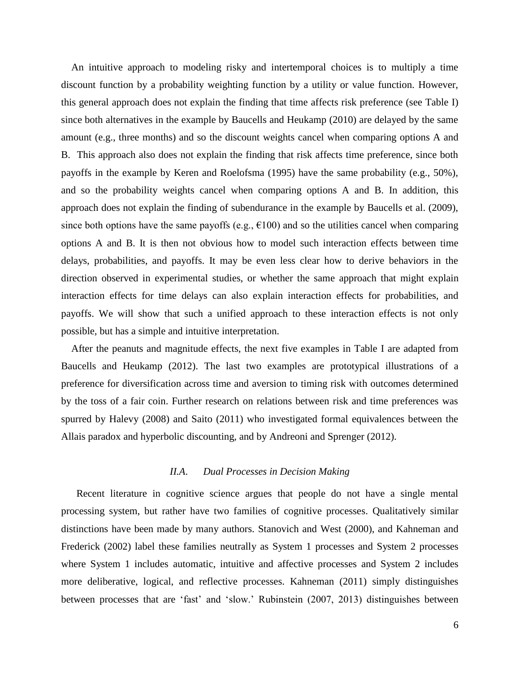An intuitive approach to modeling risky and intertemporal choices is to multiply a time discount function by a probability weighting function by a utility or value function. However, this general approach does not explain the finding that time affects risk preference (see Table I) since both alternatives in the example by Baucells and Heukamp (2010) are delayed by the same amount (e.g., three months) and so the discount weights cancel when comparing options A and B. This approach also does not explain the finding that risk affects time preference, since both payoffs in the example by Keren and Roelofsma (1995) have the same probability (e.g., 50%), and so the probability weights cancel when comparing options A and B. In addition, this approach does not explain the finding of subendurance in the example by Baucells et al. (2009), since both options have the same payoffs (e.g.,  $\epsilon$ 100) and so the utilities cancel when comparing options A and B. It is then not obvious how to model such interaction effects between time delays, probabilities, and payoffs. It may be even less clear how to derive behaviors in the direction observed in experimental studies, or whether the same approach that might explain interaction effects for time delays can also explain interaction effects for probabilities, and payoffs. We will show that such a unified approach to these interaction effects is not only possible, but has a simple and intuitive interpretation.

 After the peanuts and magnitude effects, the next five examples in Table I are adapted from Baucells and Heukamp (2012). The last two examples are prototypical illustrations of a preference for diversification across time and aversion to timing risk with outcomes determined by the toss of a fair coin. Further research on relations between risk and time preferences was spurred by Halevy (2008) and Saito (2011) who investigated formal equivalences between the Allais paradox and hyperbolic discounting, and by Andreoni and Sprenger (2012).

# *II.A*. *Dual Processes in Decision Making*

Recent literature in cognitive science argues that people do not have a single mental processing system, but rather have two families of cognitive processes. Qualitatively similar distinctions have been made by many authors. Stanovich and West (2000), and Kahneman and Frederick (2002) label these families neutrally as System 1 processes and System 2 processes where System 1 includes automatic, intuitive and affective processes and System 2 includes more deliberative, logical, and reflective processes. Kahneman (2011) simply distinguishes between processes that are 'fast' and 'slow.' Rubinstein (2007, 2013) distinguishes between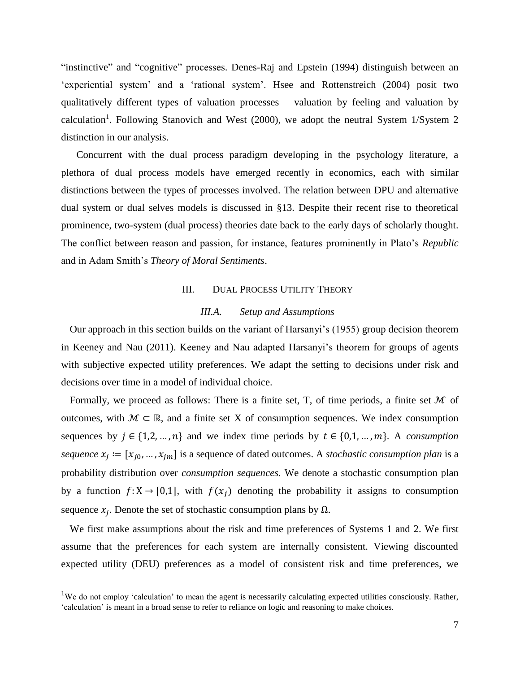"instinctive" and "cognitive" processes. Denes-Raj and Epstein (1994) distinguish between an 'experiential system' and a 'rational system'. Hsee and Rottenstreich (2004) posit two qualitatively different types of valuation processes – valuation by feeling and valuation by calculation<sup>1</sup>. Following Stanovich and West (2000), we adopt the neutral System 1/System 2 distinction in our analysis.

Concurrent with the dual process paradigm developing in the psychology literature, a plethora of dual process models have emerged recently in economics, each with similar distinctions between the types of processes involved. The relation between DPU and alternative dual system or dual selves models is discussed in §13. Despite their recent rise to theoretical prominence, two-system (dual process) theories date back to the early days of scholarly thought. The conflict between reason and passion, for instance, features prominently in Plato's *Republic* and in Adam Smith's *Theory of Moral Sentiments*.

#### III. DUAL PROCESS UTILITY THEORY

#### *III.A. Setup and Assumptions*

Our approach in this section builds on the variant of Harsanyi's (1955) group decision theorem in Keeney and Nau (2011). Keeney and Nau adapted Harsanyi's theorem for groups of agents with subjective expected utility preferences. We adapt the setting to decisions under risk and decisions over time in a model of individual choice.

Formally, we proceed as follows: There is a finite set, T, of time periods, a finite set  $M$  of outcomes, with  $M \subset \mathbb{R}$ , and a finite set X of consumption sequences. We index consumption sequences by  $j \in \{1,2,...,n\}$  and we index time periods by  $t \in \{0,1,...,m\}$ . A *consumption sequence*  $x_j := [x_{j0}, ..., x_{jm}]$  is a sequence of dated outcomes. A *stochastic consumption plan* is a probability distribution over *consumption sequences.* We denote a stochastic consumption plan by a function  $f: X \to [0,1]$ , with  $f(x_i)$  denoting the probability it assigns to consumption sequence  $x_j$ . Denote the set of stochastic consumption plans by  $\Omega$ .

We first make assumptions about the risk and time preferences of Systems 1 and 2. We first assume that the preferences for each system are internally consistent. Viewing discounted expected utility (DEU) preferences as a model of consistent risk and time preferences, we

<sup>&</sup>lt;sup>1</sup>We do not employ 'calculation' to mean the agent is necessarily calculating expected utilities consciously. Rather, 'calculation' is meant in a broad sense to refer to reliance on logic and reasoning to make choices.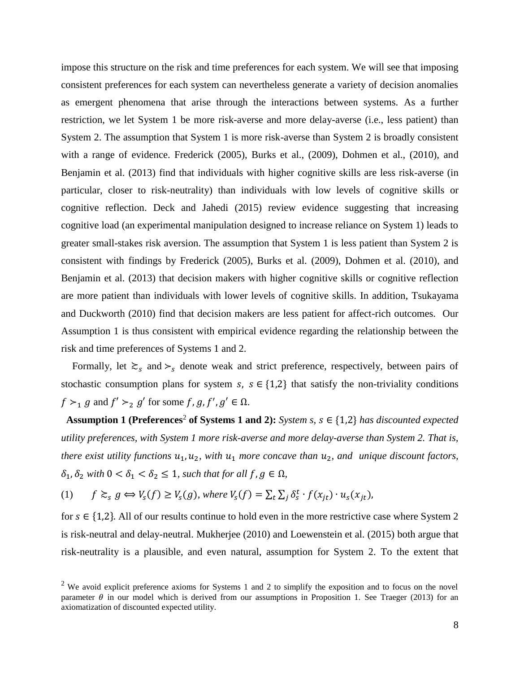impose this structure on the risk and time preferences for each system. We will see that imposing consistent preferences for each system can nevertheless generate a variety of decision anomalies as emergent phenomena that arise through the interactions between systems. As a further restriction, we let System 1 be more risk-averse and more delay-averse (i.e., less patient) than System 2. The assumption that System 1 is more risk-averse than System 2 is broadly consistent with a range of evidence. Frederick (2005), Burks et al., (2009), Dohmen et al., (2010), and Benjamin et al. (2013) find that individuals with higher cognitive skills are less risk-averse (in particular, closer to risk-neutrality) than individuals with low levels of cognitive skills or cognitive reflection. Deck and Jahedi (2015) review evidence suggesting that increasing cognitive load (an experimental manipulation designed to increase reliance on System 1) leads to greater small-stakes risk aversion. The assumption that System 1 is less patient than System 2 is consistent with findings by Frederick (2005), Burks et al. (2009), Dohmen et al. (2010), and Benjamin et al. (2013) that decision makers with higher cognitive skills or cognitive reflection are more patient than individuals with lower levels of cognitive skills. In addition, Tsukayama and Duckworth (2010) find that decision makers are less patient for affect-rich outcomes. Our Assumption 1 is thus consistent with empirical evidence regarding the relationship between the risk and time preferences of Systems 1 and 2.

Formally, let  $\gtrsim_s$  and  $\succ_s$  denote weak and strict preference, respectively, between pairs of stochastic consumption plans for system  $s, s \in \{1,2\}$  that satisfy the non-triviality conditions  $f \succ_1 g$  and  $f' \succ_2 g'$  for some  $f, g, f', g' \in \Omega$ .

 **Assumption 1** (Preferences<sup>2</sup> of Systems 1 and 2): *System s, s*  $\in$  {1,2} *has discounted expected utility preferences, with System 1 more risk-averse and more delay-averse than System 2. That is, there exist utility functions*  $u_1, u_2$ , with  $u_1$  *more concave than*  $u_2$ *, and unique discount factors,*  $\delta_1$ ,  $\delta_2$  *with*  $0 < \delta_1 < \delta_2 \leq 1$ *, such that for all f, g*  $\in \Omega$ *,* 

(1) 
$$
f \gtrsim_s g \Leftrightarrow V_s(f) \ge V_s(g)
$$
, where  $V_s(f) = \sum_t \sum_j \delta_s^t \cdot f(x_{jt}) \cdot u_s(x_{jt})$ ,

for  $s \in \{1,2\}$ . All of our results continue to hold even in the more restrictive case where System 2 is risk-neutral and delay-neutral. Mukherjee (2010) and Loewenstein et al. (2015) both argue that risk-neutrality is a plausible, and even natural, assumption for System 2. To the extent that

<sup>&</sup>lt;sup>2</sup> We avoid explicit preference axioms for Systems 1 and 2 to simplify the exposition and to focus on the novel parameter  $\theta$  in our model which is derived from our assumptions in Proposition 1. See Traeger (2013) for an axiomatization of discounted expected utility.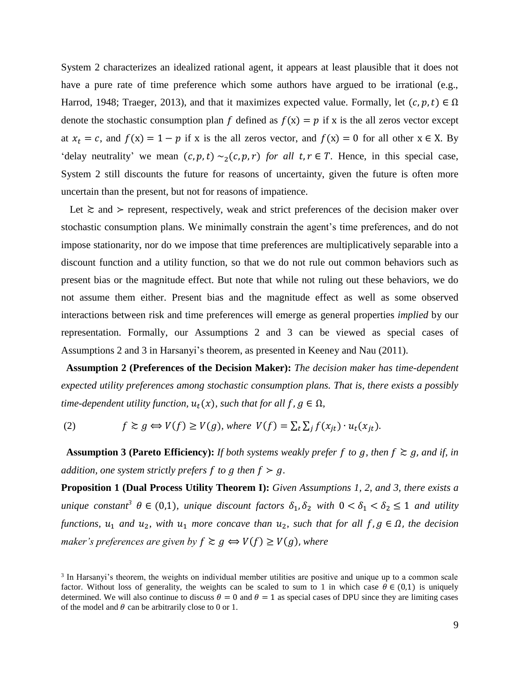System 2 characterizes an idealized rational agent, it appears at least plausible that it does not have a pure rate of time preference which some authors have argued to be irrational (e.g., Harrod, 1948; Traeger, 2013), and that it maximizes expected value. Formally, let  $(c, p, t) \in \Omega$ denote the stochastic consumption plan f defined as  $f(x) = p$  if x is the all zeros vector except at  $x_t = c$ , and  $f(x) = 1 - p$  if x is the all zeros vector, and  $f(x) = 0$  for all other  $x \in X$ . By 'delay neutrality' we mean  $(c, p, t) \sim_2(c, p, r)$  *for all t, r*  $\in$  *T*. Hence, in this special case, System 2 still discounts the future for reasons of uncertainty, given the future is often more uncertain than the present, but not for reasons of impatience.

Let  $\ge$  and  $>$  represent, respectively, weak and strict preferences of the decision maker over stochastic consumption plans. We minimally constrain the agent's time preferences, and do not impose stationarity, nor do we impose that time preferences are multiplicatively separable into a discount function and a utility function, so that we do not rule out common behaviors such as present bias or the magnitude effect. But note that while not ruling out these behaviors, we do not assume them either. Present bias and the magnitude effect as well as some observed interactions between risk and time preferences will emerge as general properties *implied* by our representation. Formally, our Assumptions 2 and 3 can be viewed as special cases of Assumptions 2 and 3 in Harsanyi's theorem, as presented in Keeney and Nau (2011).

 **Assumption 2 (Preferences of the Decision Maker):** *The decision maker has time-dependent expected utility preferences among stochastic consumption plans. That is, there exists a possibly time-dependent utility function,*  $u_t(x)$ *, such that for all f, g*  $\in \Omega$ *,* 

(2)  $f \gtrsim g \Leftrightarrow V(f) \ge V(g)$ , where  $V(f) = \sum_t \sum_j f(x_{jt}) \cdot u_t(x_{jt})$ .

**Assumption 3 (Pareto Efficiency):** *If both systems weakly prefer f to g, then*  $f \ge g$ *, and if, in addition, one system strictly prefers f to g then*  $f > g$ *.* 

**Proposition 1 (Dual Process Utility Theorem I):** *Given Assumptions 1, 2, and 3, there exists a unique constant<sup>3</sup>*  $\theta \in (0,1)$ *, unique discount factors*  $\delta_1$ ,  $\delta_2$  *with*  $0 < \delta_1 < \delta_2 \leq 1$  *and utility functions,*  $u_1$  *and*  $u_2$ *, with*  $u_1$  *more concave than*  $u_2$ *, such that for all*  $f, g \in \Omega$ *, the decision maker's preferences are given by*  $f \ge g \Leftrightarrow V(f) \ge V(g)$ *, where* 

<sup>&</sup>lt;sup>3</sup> In Harsanyi's theorem, the weights on individual member utilities are positive and unique up to a common scale factor. Without loss of generality, the weights can be scaled to sum to 1 in which case  $\theta \in (0,1)$  is uniquely determined. We will also continue to discuss  $\theta = 0$  and  $\theta = 1$  as special cases of DPU since they are limiting cases of the model and  $\theta$  can be arbitrarily close to 0 or 1.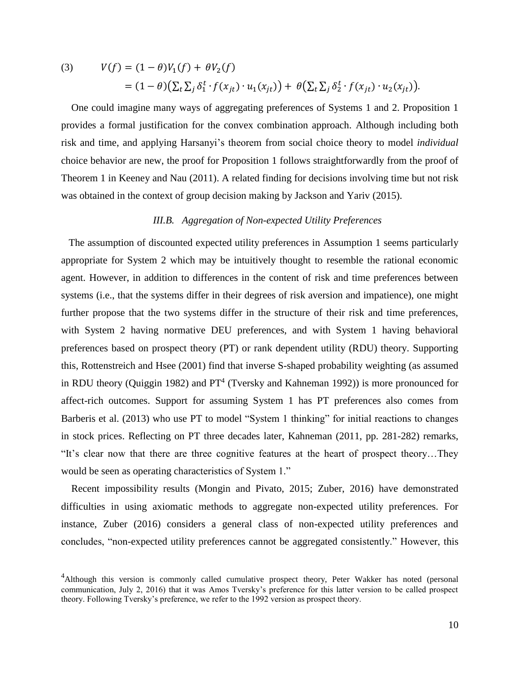(3) 
$$
V(f) = (1 - \theta)V_1(f) + \theta V_2(f)
$$

$$
= (1 - \theta)(\sum_t \sum_j \delta_1^t \cdot f(x_{jt}) \cdot u_1(x_{jt})) + \theta(\sum_t \sum_j \delta_2^t \cdot f(x_{jt}) \cdot u_2(x_{jt})).
$$

 One could imagine many ways of aggregating preferences of Systems 1 and 2. Proposition 1 provides a formal justification for the convex combination approach. Although including both risk and time, and applying Harsanyi's theorem from social choice theory to model *individual* choice behavior are new, the proof for Proposition 1 follows straightforwardly from the proof of Theorem 1 in Keeney and Nau (2011). A related finding for decisions involving time but not risk was obtained in the context of group decision making by Jackson and Yariv (2015).

# *III.B. Aggregation of Non-expected Utility Preferences*

 The assumption of discounted expected utility preferences in Assumption 1 seems particularly appropriate for System 2 which may be intuitively thought to resemble the rational economic agent. However, in addition to differences in the content of risk and time preferences between systems (i.e., that the systems differ in their degrees of risk aversion and impatience), one might further propose that the two systems differ in the structure of their risk and time preferences, with System 2 having normative DEU preferences, and with System 1 having behavioral preferences based on prospect theory (PT) or rank dependent utility (RDU) theory. Supporting this, Rottenstreich and Hsee (2001) find that inverse S-shaped probability weighting (as assumed in RDU theory (Quiggin 1982) and  $PT<sup>4</sup>$  (Tversky and Kahneman 1992)) is more pronounced for affect-rich outcomes. Support for assuming System 1 has PT preferences also comes from Barberis et al. (2013) who use PT to model "System 1 thinking" for initial reactions to changes in stock prices. Reflecting on PT three decades later, Kahneman (2011, pp. 281-282) remarks, "It's clear now that there are three cognitive features at the heart of prospect theory…They would be seen as operating characteristics of System 1."

 Recent impossibility results (Mongin and Pivato, 2015; Zuber, 2016) have demonstrated difficulties in using axiomatic methods to aggregate non-expected utility preferences. For instance, Zuber (2016) considers a general class of non-expected utility preferences and concludes, "non-expected utility preferences cannot be aggregated consistently." However, this

<sup>&</sup>lt;sup>4</sup>Although this version is commonly called cumulative prospect theory, Peter Wakker has noted (personal communication, July 2, 2016) that it was Amos Tversky's preference for this latter version to be called prospect theory. Following Tversky's preference, we refer to the 1992 version as prospect theory.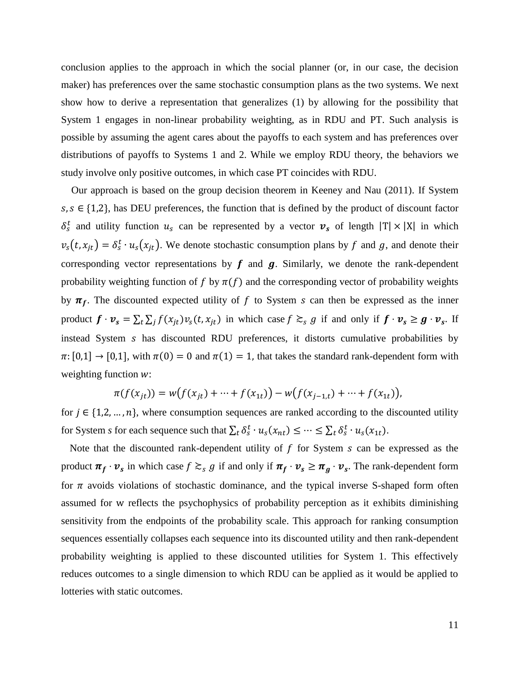conclusion applies to the approach in which the social planner (or, in our case, the decision maker) has preferences over the same stochastic consumption plans as the two systems. We next show how to derive a representation that generalizes (1) by allowing for the possibility that System 1 engages in non-linear probability weighting, as in RDU and PT. Such analysis is possible by assuming the agent cares about the payoffs to each system and has preferences over distributions of payoffs to Systems 1 and 2. While we employ RDU theory, the behaviors we study involve only positive outcomes, in which case PT coincides with RDU.

 Our approach is based on the group decision theorem in Keeney and Nau (2011). If System  $s, s \in \{1,2\}$ , has DEU preferences, the function that is defined by the product of discount factor  $\delta_s^t$  and utility function  $u_s$  can be represented by a vector  $v_s$  of length  $|T| \times |X|$  in which  $v_s(t, x_{jt}) = \delta_s^t \cdot u_s(x_{jt})$ . We denote stochastic consumption plans by f and g, and denote their corresponding vector representations by  $f$  and  $g$ . Similarly, we denote the rank-dependent probability weighting function of f by  $\pi(f)$  and the corresponding vector of probability weights by  $\pi_f$ . The discounted expected utility of f to System s can then be expressed as the inner product  $f \cdot v_s = \sum_t \sum_j f(x_{jt}) v_s(t, x_{jt})$  in which case  $f \geq_s g$  if and only if  $f \cdot v_s \geq g \cdot v_s$ . If instead System *s* has discounted RDU preferences, it distorts cumulative probabilities by  $\pi: [0,1] \to [0,1]$ , with  $\pi(0) = 0$  and  $\pi(1) = 1$ , that takes the standard rank-dependent form with weighting function  $w$ :

$$
\pi(f(x_{jt})) = w(f(x_{jt}) + \dots + f(x_{1t})) - w(f(x_{j-1,t}) + \dots + f(x_{1t})),
$$

for  $j \in \{1,2,\ldots,n\}$ , where consumption sequences are ranked according to the discounted utility for System *s* for each sequence such that  $\sum_t \delta_s^t \cdot u_s(x_{nt}) \leq \cdots \leq \sum_t \delta_s^t \cdot u_s(x_{1t}).$ 

Note that the discounted rank-dependent utility of  $f$  for System  $s$  can be expressed as the product  $\pi_f \cdot v_s$  in which case  $f \gtrsim_s g$  if and only if  $\pi_f \cdot v_s \ge \pi_g \cdot v_s$ . The rank-dependent form for  $\pi$  avoids violations of stochastic dominance, and the typical inverse S-shaped form often assumed for w reflects the psychophysics of probability perception as it exhibits diminishing sensitivity from the endpoints of the probability scale. This approach for ranking consumption sequences essentially collapses each sequence into its discounted utility and then rank-dependent probability weighting is applied to these discounted utilities for System 1. This effectively reduces outcomes to a single dimension to which RDU can be applied as it would be applied to lotteries with static outcomes.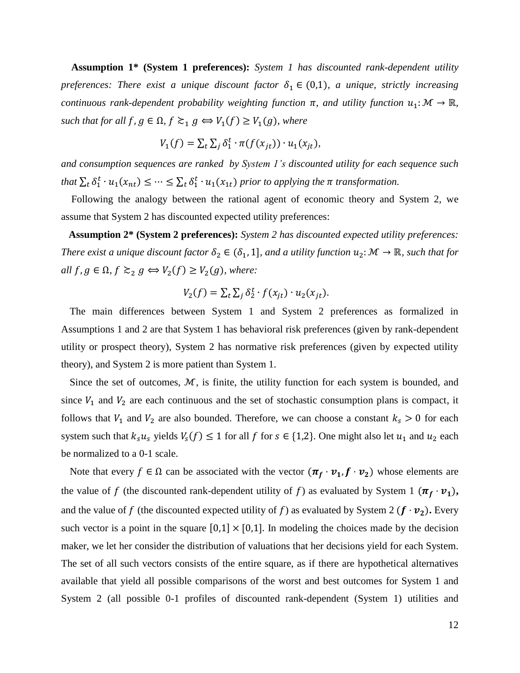**Assumption 1\* (System 1 preferences):** *System 1 has discounted rank-dependent utility preferences: There exist a unique discount factor*  $\delta_1 \in (0,1)$ *, a unique, strictly increasing continuous rank-dependent probability weighting function*  $\pi$ , *and utility function*  $u_1: \mathcal{M} \to \mathbb{R}$ ,  $\textit{such that for all } f, g \in \Omega, f \gtrsim_1 g \Leftrightarrow V_1(f) \geq V_1(g)$ , where

$$
V_1(f) = \sum_t \sum_j \delta_1^t \cdot \pi(f(x_{jt})) \cdot u_1(x_{jt}),
$$

*and consumption sequences are ranked by System 1's discounted utility for each sequence such*  that  $\sum_t \delta_1^t \cdot u_1(x_{nt}) \leq \cdots \leq \sum_t \delta_1^t \cdot u_1(x_{1t})$  prior to applying the  $\pi$  transformation.

 Following the analogy between the rational agent of economic theory and System 2, we assume that System 2 has discounted expected utility preferences:

**Assumption 2\* (System 2 preferences):** *System 2 has discounted expected utility preferences: There exist a unique discount factor*  $\delta_2 \in (\delta_1, 1]$ *, and a utility function*  $u_2 \colon \mathcal{M} \to \mathbb{R}$ *, such that for*  $all f, g \in \Omega, f \gtrsim_2 g \Leftrightarrow V_2(f) \geq V_2(g)$ , where:

$$
V_2(f) = \sum_t \sum_j \delta_2^t \cdot f(x_{jt}) \cdot u_2(x_{jt}).
$$

The main differences between System 1 and System 2 preferences as formalized in Assumptions 1 and 2 are that System 1 has behavioral risk preferences (given by rank-dependent utility or prospect theory), System 2 has normative risk preferences (given by expected utility theory), and System 2 is more patient than System 1.

Since the set of outcomes,  $M$ , is finite, the utility function for each system is bounded, and since  $V_1$  and  $V_2$  are each continuous and the set of stochastic consumption plans is compact, it follows that  $V_1$  and  $V_2$  are also bounded. Therefore, we can choose a constant  $k_s > 0$  for each system such that  $k_s u_s$  yields  $V_s(f) \leq 1$  for all f for  $s \in \{1,2\}$ . One might also let  $u_1$  and  $u_2$  each be normalized to a 0-1 scale.

Note that every  $f \in \Omega$  can be associated with the vector  $(\pi_f \cdot \nu_1, f \cdot \nu_2)$  whose elements are the value of f (the discounted rank-dependent utility of f) as evaluated by System 1  $(\pi_f \cdot \nu_1)$ , and the value of f (the discounted expected utility of f) as evaluated by System 2  $(f \cdot v_2)$ . Every such vector is a point in the square  $[0,1] \times [0,1]$ . In modeling the choices made by the decision maker, we let her consider the distribution of valuations that her decisions yield for each System. The set of all such vectors consists of the entire square, as if there are hypothetical alternatives available that yield all possible comparisons of the worst and best outcomes for System 1 and System 2 (all possible 0-1 profiles of discounted rank-dependent (System 1) utilities and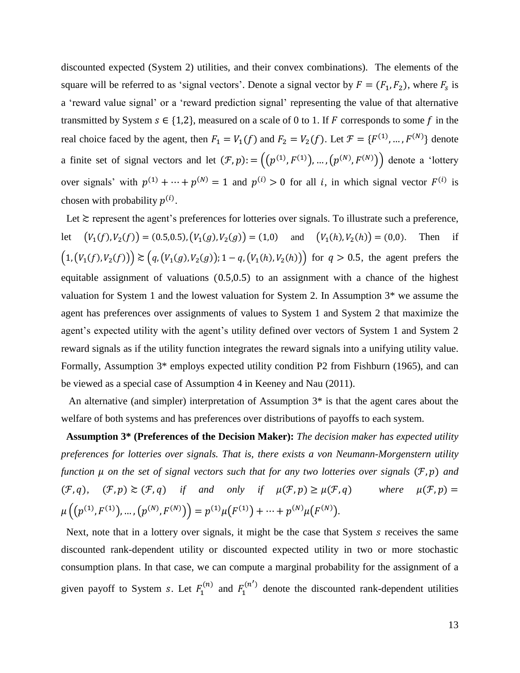discounted expected (System 2) utilities, and their convex combinations). The elements of the square will be referred to as 'signal vectors'. Denote a signal vector by  $F = (F_1, F_2)$ , where  $F_s$  is a 'reward value signal' or a 'reward prediction signal' representing the value of that alternative transmitted by System  $s \in \{1,2\}$ , measured on a scale of 0 to 1. If F corresponds to some f in the real choice faced by the agent, then  $F_1 = V_1(f)$  and  $F_2 = V_2(f)$ . Let  $\mathcal{F} = \{F^{(1)}, ..., F^{(N)}\}$  denote a finite set of signal vectors and let  $(\mathcal{F}, p)$ : =  $((p^{(1)}, F^{(1)}), ..., (p^{(N)}, F^{(N)}))$  denote a 'lottery' over signals' with  $p^{(1)} + \cdots + p^{(N)} = 1$  and  $p^{(i)} > 0$  for all *i*, in which signal vector  $F^{(i)}$  is chosen with probability  $p^{(i)}$ .

Let  $\geq$  represent the agent's preferences for lotteries over signals. To illustrate such a preference, let  $(V_1(f), V_2(f)) = (0.5, 0.5), (V_1(g), V_2(g)) = (1, 0)$  and  $(V_1(h), V_2(h)) = (0, 0)$ . Then if  $(1, (V_1(f), V_2(f))) \geq (q, (V_1(g), V_2(g)); 1-q, (V_1(h), V_2(h)))$  for  $q > 0.5$ , the agent prefers the equitable assignment of valuations (0.5,0.5) to an assignment with a chance of the highest valuation for System 1 and the lowest valuation for System 2. In Assumption 3\* we assume the agent has preferences over assignments of values to System 1 and System 2 that maximize the agent's expected utility with the agent's utility defined over vectors of System 1 and System 2 reward signals as if the utility function integrates the reward signals into a unifying utility value. Formally, Assumption 3\* employs expected utility condition P2 from Fishburn (1965), and can be viewed as a special case of Assumption 4 in Keeney and Nau (2011).

 An alternative (and simpler) interpretation of Assumption 3\* is that the agent cares about the welfare of both systems and has preferences over distributions of payoffs to each system.

 **Assumption 3\* (Preferences of the Decision Maker):** *The decision maker has expected utility preferences for lotteries over signals. That is, there exists a von Neumann-Morgenstern utility function μ on the set of signal vectors such that for any two lotteries over signals* (*F, p*) *and*  $(\mathcal{F}, q)$ ,  $(\mathcal{F}, p) \ge (\mathcal{F}, q)$  *if and only if*  $\mu(\mathcal{F}, p) \ge \mu(\mathcal{F}, q)$  *where*  $\mu(\mathcal{F}, p) =$  $\mu\left(\left(p^{(1)},F^{(1)}\right),\ldots,\left(p^{(N)},F^{(N)}\right)\right)=p^{(1)}\mu\left(F^{(1)}\right)+\cdots+p^{(N)}\mu\left(F^{(N)}\right).$ 

Next, note that in a lottery over signals, it might be the case that System s receives the same discounted rank-dependent utility or discounted expected utility in two or more stochastic consumption plans. In that case, we can compute a marginal probability for the assignment of a given payoff to System *s*. Let  $F_1^{(n)}$  and  $F_1^{(n')}$  denote the discounted rank-dependent utilities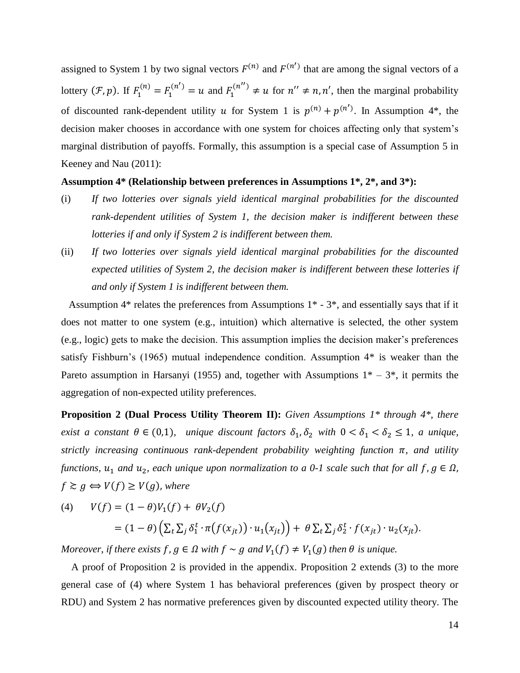assigned to System 1 by two signal vectors  $F^{(n)}$  and  $F^{(n')}$  that are among the signal vectors of a lottery  $(\mathcal{F}, p)$ . If  $F_1^{(n)} = F_1^{(n')} = u$  and  $F_1^{(n'')} \neq u$  for  $n'' \neq n, n'$ , then the marginal probability of discounted rank-dependent utility u for System 1 is  $p^{(n)} + p^{(n')}$ . In Assumption 4\*, the decision maker chooses in accordance with one system for choices affecting only that system's marginal distribution of payoffs. Formally, this assumption is a special case of Assumption 5 in Keeney and Nau (2011):

# **Assumption 4\* (Relationship between preferences in Assumptions 1\*, 2\*, and 3\*):**

- (i) *If two lotteries over signals yield identical marginal probabilities for the discounted rank-dependent utilities of System 1, the decision maker is indifferent between these lotteries if and only if System 2 is indifferent between them.*
- (ii) *If two lotteries over signals yield identical marginal probabilities for the discounted expected utilities of System 2, the decision maker is indifferent between these lotteries if and only if System 1 is indifferent between them.*

 Assumption 4\* relates the preferences from Assumptions 1\* - 3\*, and essentially says that if it does not matter to one system (e.g., intuition) which alternative is selected, the other system (e.g., logic) gets to make the decision. This assumption implies the decision maker's preferences satisfy Fishburn's (1965) mutual independence condition. Assumption 4\* is weaker than the Pareto assumption in Harsanyi (1955) and, together with Assumptions  $1^* - 3^*$ , it permits the aggregation of non-expected utility preferences.

**Proposition 2 (Dual Process Utility Theorem II):** *Given Assumptions 1\* through 4\*, there exist a* constant  $\theta \in (0,1)$ *, unique discount factors*  $\delta_1$ ,  $\delta_2$  *with*  $0 < \delta_1 < \delta_2 \le 1$ *, a unique, strictly increasing continuous rank-dependent probability weighting function*  $\pi$ , and *utility functions,*  $u_1$  *and*  $u_2$ *, each unique upon normalization to a 0-1 scale such that for all f,*  $g \in \Omega$ *,*  $f \gtrsim g \Leftrightarrow V(f) \ge V(g)$ , where

(4) 
$$
V(f) = (1 - \theta)V_1(f) + \theta V_2(f)
$$

$$
= (1 - \theta)\left(\sum_t \sum_j \delta_1^t \cdot \pi(f(x_{jt})) \cdot u_1(x_{jt})\right) + \theta \sum_t \sum_j \delta_2^t \cdot f(x_{jt}) \cdot u_2(x_{jt}).
$$

*Moreover, if there exists*  $f$ ,  $g \in \Omega$  with  $f \sim g$  and  $V_1(f) \neq V_1(g)$  then  $\theta$  is unique.

 A proof of Proposition 2 is provided in the appendix. Proposition 2 extends (3) to the more general case of (4) where System 1 has behavioral preferences (given by prospect theory or RDU) and System 2 has normative preferences given by discounted expected utility theory. The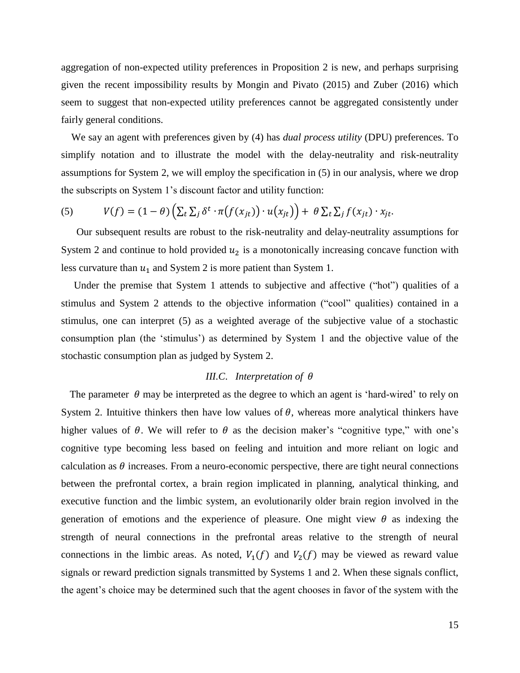aggregation of non-expected utility preferences in Proposition 2 is new, and perhaps surprising given the recent impossibility results by Mongin and Pivato (2015) and Zuber (2016) which seem to suggest that non-expected utility preferences cannot be aggregated consistently under fairly general conditions.

 We say an agent with preferences given by (4) has *dual process utility* (DPU) preferences. To simplify notation and to illustrate the model with the delay-neutrality and risk-neutrality assumptions for System 2, we will employ the specification in (5) in our analysis, where we drop the subscripts on System 1's discount factor and utility function:

(5) 
$$
V(f) = (1 - \theta) \left( \sum_t \sum_j \delta^t \cdot \pi \big(f(x_{jt})\big) \cdot u(x_{jt}) \right) + \theta \sum_t \sum_j f(x_{jt}) \cdot x_{jt}.
$$

 Our subsequent results are robust to the risk-neutrality and delay-neutrality assumptions for System 2 and continue to hold provided  $u_2$  is a monotonically increasing concave function with less curvature than  $u_1$  and System 2 is more patient than System 1.

 Under the premise that System 1 attends to subjective and affective ("hot") qualities of a stimulus and System 2 attends to the objective information ("cool" qualities) contained in a stimulus, one can interpret (5) as a weighted average of the subjective value of a stochastic consumption plan (the 'stimulus') as determined by System 1 and the objective value of the stochastic consumption plan as judged by System 2.

# *III.C. Interpretation of*  $\theta$

The parameter  $\theta$  may be interpreted as the degree to which an agent is 'hard-wired' to rely on System 2. Intuitive thinkers then have low values of  $\theta$ , whereas more analytical thinkers have higher values of  $\theta$ . We will refer to  $\theta$  as the decision maker's "cognitive type," with one's cognitive type becoming less based on feeling and intuition and more reliant on logic and calculation as  $\theta$  increases. From a neuro-economic perspective, there are tight neural connections between the prefrontal cortex, a brain region implicated in planning, analytical thinking, and executive function and the limbic system, an evolutionarily older brain region involved in the generation of emotions and the experience of pleasure. One might view  $\theta$  as indexing the strength of neural connections in the prefrontal areas relative to the strength of neural connections in the limbic areas. As noted,  $V_1(f)$  and  $V_2(f)$  may be viewed as reward value signals or reward prediction signals transmitted by Systems 1 and 2. When these signals conflict, the agent's choice may be determined such that the agent chooses in favor of the system with the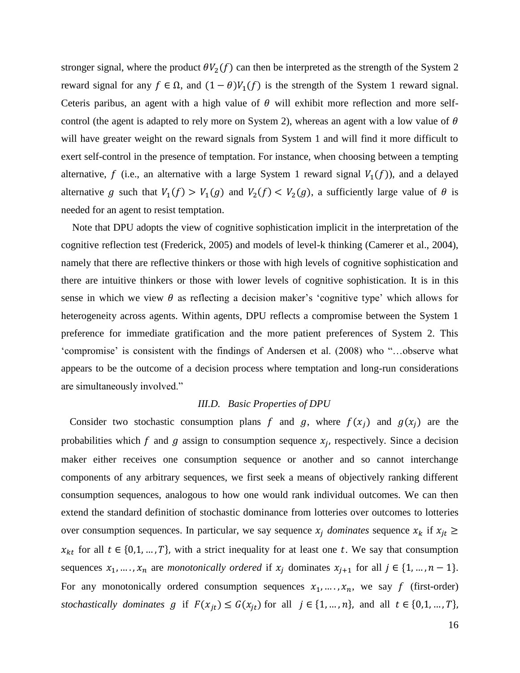stronger signal, where the product  $\theta V_2(f)$  can then be interpreted as the strength of the System 2 reward signal for any  $f \in \Omega$ , and  $(1 - \theta)V_1(f)$  is the strength of the System 1 reward signal. Ceteris paribus, an agent with a high value of  $\theta$  will exhibit more reflection and more selfcontrol (the agent is adapted to rely more on System 2), whereas an agent with a low value of  $\theta$ will have greater weight on the reward signals from System 1 and will find it more difficult to exert self-control in the presence of temptation. For instance, when choosing between a tempting alternative, f (i.e., an alternative with a large System 1 reward signal  $V_1(f)$ ), and a delayed alternative g such that  $V_1(f) > V_1(g)$  and  $V_2(f) < V_2(g)$ , a sufficiently large value of  $\theta$  is needed for an agent to resist temptation.

Note that DPU adopts the view of cognitive sophistication implicit in the interpretation of the cognitive reflection test (Frederick, 2005) and models of level-k thinking (Camerer et al., 2004), namely that there are reflective thinkers or those with high levels of cognitive sophistication and there are intuitive thinkers or those with lower levels of cognitive sophistication. It is in this sense in which we view  $\theta$  as reflecting a decision maker's 'cognitive type' which allows for heterogeneity across agents. Within agents, DPU reflects a compromise between the System 1 preference for immediate gratification and the more patient preferences of System 2. This 'compromise' is consistent with the findings of Andersen et al. (2008) who "…observe what appears to be the outcome of a decision process where temptation and long-run considerations are simultaneously involved."

#### *III.D. Basic Properties of DPU*

Consider two stochastic consumption plans f and g, where  $f(x_i)$  and  $g(x_i)$  are the probabilities which f and g assign to consumption sequence  $x_j$ , respectively. Since a decision maker either receives one consumption sequence or another and so cannot interchange components of any arbitrary sequences, we first seek a means of objectively ranking different consumption sequences, analogous to how one would rank individual outcomes. We can then extend the standard definition of stochastic dominance from lotteries over outcomes to lotteries over consumption sequences. In particular, we say sequence  $x_i$  dominates sequence  $x_k$  if  $x_{it} \geq$  $x_{kt}$  for all  $t \in \{0,1,\ldots,T\}$ , with a strict inequality for at least one t. We say that consumption sequences  $x_1, ..., x_n$  are *monotonically ordered* if  $x_j$  dominates  $x_{j+1}$  for all  $j \in \{1, ..., n-1\}$ . For any monotonically ordered consumption sequences  $x_1, \ldots, x_n$ , we say f (first-order) *stochastically dominates*  $g$  if  $F(x_{jt}) \le G(x_{jt})$  for all  $j \in \{1, ..., n\}$ , and all  $t \in \{0, 1, ..., T\}$ ,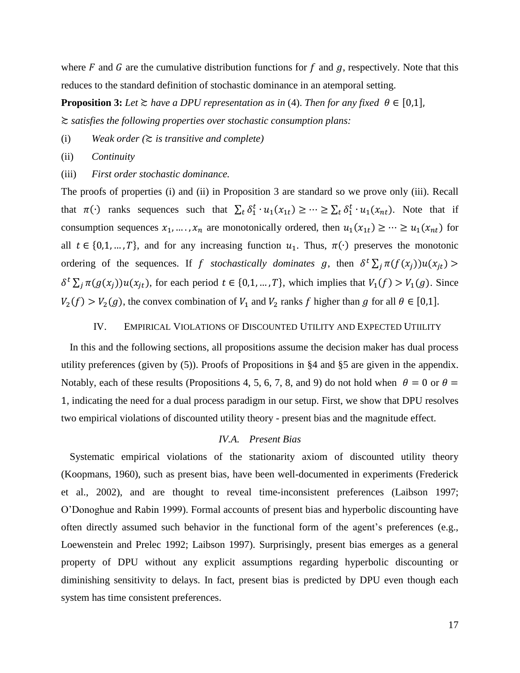where  $F$  and  $G$  are the cumulative distribution functions for  $f$  and  $g$ , respectively. Note that this reduces to the standard definition of stochastic dominance in an atemporal setting.

**Proposition 3:** *Let*  $\geq$  *have a DPU representation as in* (4). *Then for any fixed*  $\theta \in [0,1]$ *,* ≿ *satisfies the following properties over stochastic consumption plans:*

(i) *Weak order (*≿ *is transitive and complete)*

(ii) *Continuity* 

(iii) *First order stochastic dominance.*

The proofs of properties (i) and (ii) in Proposition 3 are standard so we prove only (iii). Recall that  $\pi(\cdot)$  ranks sequences such that  $\sum_t \delta_1^t \cdot u_1(x_{1t}) \geq \cdots \geq \sum_t \delta_1^t \cdot u_1(x_{nt})$ . Note that if consumption sequences  $x_1, ..., x_n$  are monotonically ordered, then  $u_1(x_{1t}) \geq ... \geq u_1(x_{nt})$  for all  $t \in \{0,1,\ldots,T\}$ , and for any increasing function  $u_1$ . Thus,  $\pi(\cdot)$  preserves the monotonic ordering of the sequences. If f stochastically dominates g, then  $\delta^t \sum_j \pi(f(x_j))u(x_{jt})$  $\delta^t \sum_j \pi(g(x_j))u(x_{jt})$ , for each period  $t \in \{0,1,\dots,T\}$ , which implies that  $V_1(f) > V_1(g)$ . Since  $V_2(f) > V_2(g)$ , the convex combination of  $V_1$  and  $V_2$  ranks f higher than g for all  $\theta \in [0,1]$ .

#### IV. EMPIRICAL VIOLATIONS OF DISCOUNTED UTILITY AND EXPECTED UTIILITY

In this and the following sections, all propositions assume the decision maker has dual process utility preferences (given by (5)). Proofs of Propositions in §4 and §5 are given in the appendix. Notably, each of these results (Propositions 4, 5, 6, 7, 8, and 9) do not hold when  $\theta = 0$  or  $\theta =$ 1, indicating the need for a dual process paradigm in our setup. First, we show that DPU resolves two empirical violations of discounted utility theory - present bias and the magnitude effect.

# *IV.A. Present Bias*

Systematic empirical violations of the stationarity axiom of discounted utility theory (Koopmans, 1960), such as present bias, have been well-documented in experiments (Frederick et al., 2002), and are thought to reveal time-inconsistent preferences (Laibson 1997; O'Donoghue and Rabin 1999). Formal accounts of present bias and hyperbolic discounting have often directly assumed such behavior in the functional form of the agent's preferences (e.g., Loewenstein and Prelec 1992; Laibson 1997). Surprisingly, present bias emerges as a general property of DPU without any explicit assumptions regarding hyperbolic discounting or diminishing sensitivity to delays. In fact, present bias is predicted by DPU even though each system has time consistent preferences.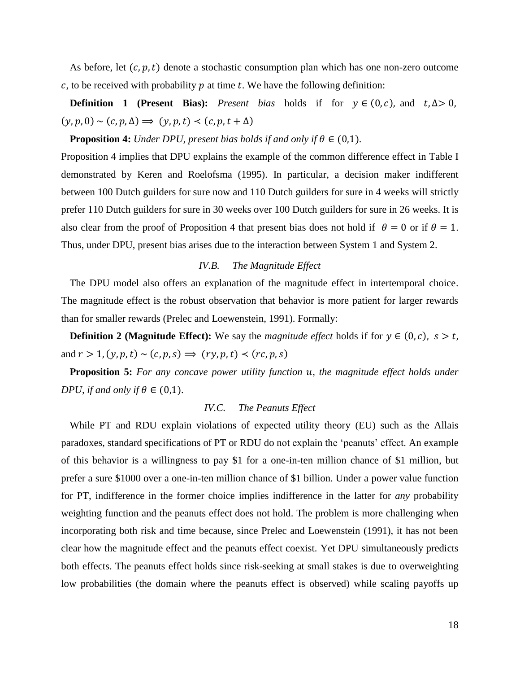As before, let  $(c, p, t)$  denote a stochastic consumption plan which has one non-zero outcome  $c$ , to be received with probability  $p$  at time  $t$ . We have the following definition:

**Definition 1 (Present Bias):** *Present bias* holds if for  $y \in (0, c)$ , and  $t, \Delta > 0$ ,  $(y, p, 0) \sim (c, p, \Delta) \Longrightarrow (y, p, t) \prec (c, p, t + \Delta)$ 

**Proposition 4:** *Under DPU, present bias holds if and only if*  $\theta \in (0,1)$ *.* 

Proposition 4 implies that DPU explains the example of the common difference effect in Table I demonstrated by Keren and Roelofsma (1995). In particular, a decision maker indifferent between 100 Dutch guilders for sure now and 110 Dutch guilders for sure in 4 weeks will strictly prefer 110 Dutch guilders for sure in 30 weeks over 100 Dutch guilders for sure in 26 weeks. It is also clear from the proof of Proposition 4 that present bias does not hold if  $\theta = 0$  or if  $\theta = 1$ . Thus, under DPU, present bias arises due to the interaction between System 1 and System 2.

# *IV.B. The Magnitude Effect*

The DPU model also offers an explanation of the magnitude effect in intertemporal choice. The magnitude effect is the robust observation that behavior is more patient for larger rewards than for smaller rewards (Prelec and Loewenstein, 1991). Formally:

**Definition 2** (Magnitude Effect): We say the *magnitude effect* holds if for  $y \in (0, c)$ ,  $s > t$ , and  $r > 1$ ,  $(y, p, t) \sim (c, p, s) \Rightarrow (ry, p, t) \prec (rc, p, s)$ 

**Proposition 5:** For any concave power utility function *u*, the magnitude effect holds under *DPU, if and only if*  $\theta \in (0,1)$ *.* 

# *IV.C. The Peanuts Effect*

While PT and RDU explain violations of expected utility theory (EU) such as the Allais paradoxes, standard specifications of PT or RDU do not explain the 'peanuts' effect. An example of this behavior is a willingness to pay \$1 for a one-in-ten million chance of \$1 million, but prefer a sure \$1000 over a one-in-ten million chance of \$1 billion. Under a power value function for PT, indifference in the former choice implies indifference in the latter for *any* probability weighting function and the peanuts effect does not hold. The problem is more challenging when incorporating both risk and time because, since Prelec and Loewenstein (1991), it has not been clear how the magnitude effect and the peanuts effect coexist. Yet DPU simultaneously predicts both effects. The peanuts effect holds since risk-seeking at small stakes is due to overweighting low probabilities (the domain where the peanuts effect is observed) while scaling payoffs up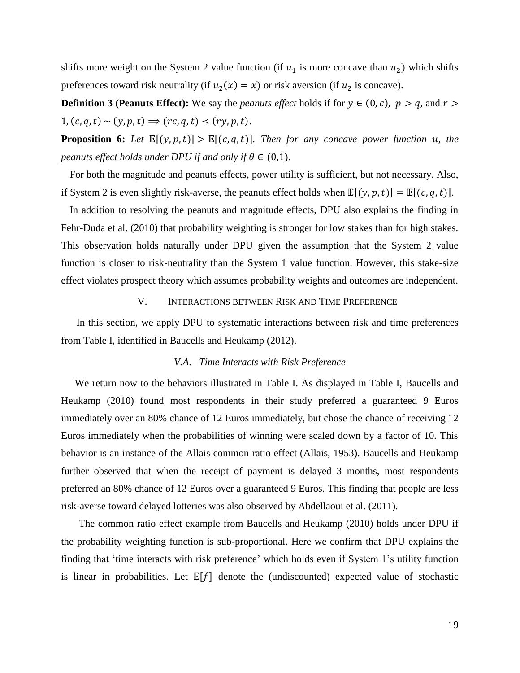shifts more weight on the System 2 value function (if  $u_1$  is more concave than  $u_2$ ) which shifts preferences toward risk neutrality (if  $u_2(x) = x$ ) or risk aversion (if  $u_2$  is concave).

**Definition 3 (Peanuts Effect):** We say the *peanuts effect* holds if for  $y \in (0, c)$ ,  $p > q$ , and  $r >$  $1, (c, q, t) \sim (y, p, t) \Rightarrow (rc, q, t) \prec (ry, p, t).$ 

**Proposition 6:** Let  $\mathbb{E}[(y, p, t)] > \mathbb{E}[(c, q, t)]$ . Then for any concave power function  $u$ , the *peanuts effect holds under DPU if and only if*  $\theta \in (0,1)$ *.* 

For both the magnitude and peanuts effects, power utility is sufficient, but not necessary. Also, if System 2 is even slightly risk-averse, the peanuts effect holds when  $\mathbb{E}[(y, p, t)] = \mathbb{E}[(c, q, t)].$ 

In addition to resolving the peanuts and magnitude effects, DPU also explains the finding in Fehr-Duda et al. (2010) that probability weighting is stronger for low stakes than for high stakes. This observation holds naturally under DPU given the assumption that the System 2 value function is closer to risk-neutrality than the System 1 value function. However, this stake-size effect violates prospect theory which assumes probability weights and outcomes are independent.

#### V. INTERACTIONS BETWEEN RISK AND TIME PREFERENCE

In this section, we apply DPU to systematic interactions between risk and time preferences from Table I, identified in Baucells and Heukamp (2012).

#### *V.A*. *Time Interacts with Risk Preference*

 We return now to the behaviors illustrated in Table I. As displayed in Table I, Baucells and Heukamp (2010) found most respondents in their study preferred a guaranteed 9 Euros immediately over an 80% chance of 12 Euros immediately, but chose the chance of receiving 12 Euros immediately when the probabilities of winning were scaled down by a factor of 10. This behavior is an instance of the Allais common ratio effect (Allais, 1953). Baucells and Heukamp further observed that when the receipt of payment is delayed 3 months, most respondents preferred an 80% chance of 12 Euros over a guaranteed 9 Euros. This finding that people are less risk-averse toward delayed lotteries was also observed by Abdellaoui et al. (2011).

 The common ratio effect example from Baucells and Heukamp (2010) holds under DPU if the probability weighting function is sub-proportional. Here we confirm that DPU explains the finding that 'time interacts with risk preference' which holds even if System 1's utility function is linear in probabilities. Let  $E[f]$  denote the (undiscounted) expected value of stochastic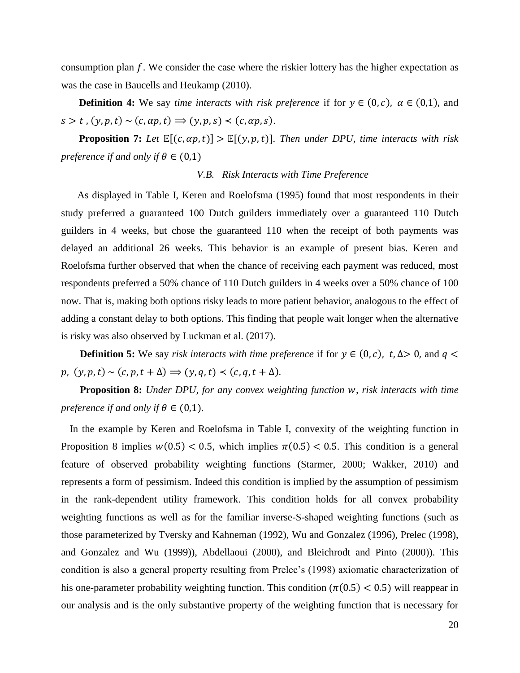consumption plan  $f$ . We consider the case where the riskier lottery has the higher expectation as was the case in Baucells and Heukamp (2010).

**Definition 4:** We say *time interacts with risk preference* if for  $y \in (0, c)$ ,  $\alpha \in (0, 1)$ , and  $s > t$ ,  $(y, p, t) \sim (c, \alpha p, t) \Rightarrow (y, p, s) \prec (c, \alpha p, s).$ 

 **Proposition 7:** Let  $\mathbb{E}[(c, \alpha p, t)] > \mathbb{E}[(y, p, t)]$ . Then under DPU, time interacts with risk *preference if and only if*  $\theta \in (0,1)$ 

# *V.B. Risk Interacts with Time Preference*

 As displayed in Table I, Keren and Roelofsma (1995) found that most respondents in their study preferred a guaranteed 100 Dutch guilders immediately over a guaranteed 110 Dutch guilders in 4 weeks, but chose the guaranteed 110 when the receipt of both payments was delayed an additional 26 weeks. This behavior is an example of present bias. Keren and Roelofsma further observed that when the chance of receiving each payment was reduced, most respondents preferred a 50% chance of 110 Dutch guilders in 4 weeks over a 50% chance of 100 now. That is, making both options risky leads to more patient behavior, analogous to the effect of adding a constant delay to both options. This finding that people wait longer when the alternative is risky was also observed by Luckman et al. (2017).

 **Definition 5:** We say *risk interacts with time preference* if for  $y \in (0, c)$ ,  $t, \Delta > 0$ , and  $q <$  $p, (y, p, t) \sim (c, p, t + \Delta) \Rightarrow (y, q, t) \prec (c, q, t + \Delta).$ 

**Proposition 8:** *Under DPU, for any convex weighting function w, risk interacts with time preference if and only if*  $\theta \in (0,1)$ *.* 

In the example by Keren and Roelofsma in Table I, convexity of the weighting function in Proposition 8 implies  $w(0.5) < 0.5$ , which implies  $\pi(0.5) < 0.5$ . This condition is a general feature of observed probability weighting functions (Starmer, 2000; Wakker, 2010) and represents a form of pessimism. Indeed this condition is implied by the assumption of pessimism in the rank-dependent utility framework. This condition holds for all convex probability weighting functions as well as for the familiar inverse-S-shaped weighting functions (such as those parameterized by Tversky and Kahneman (1992), Wu and Gonzalez (1996), Prelec (1998), and Gonzalez and Wu (1999)), Abdellaoui (2000), and Bleichrodt and Pinto (2000)). This condition is also a general property resulting from Prelec's (1998) axiomatic characterization of his one-parameter probability weighting function. This condition ( $\pi$ (0.5) < 0.5) will reappear in our analysis and is the only substantive property of the weighting function that is necessary for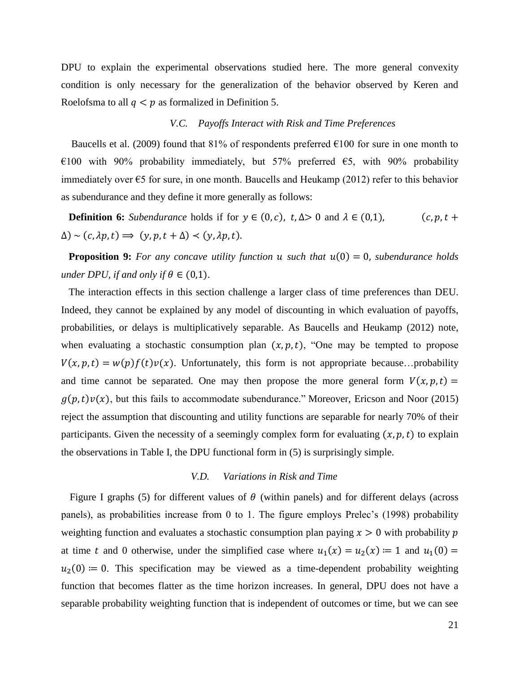DPU to explain the experimental observations studied here. The more general convexity condition is only necessary for the generalization of the behavior observed by Keren and Roelofsma to all  $q < p$  as formalized in Definition 5.

### *V.C. Payoffs Interact with Risk and Time Preferences*

Baucells et al. (2009) found that  $81\%$  of respondents preferred  $6100$  for sure in one month to €100 with 90% probability immediately, but 57% preferred  $€5$ , with 90% probability immediately over  $\epsilon$ 5 for sure, in one month. Baucells and Heukamp (2012) refer to this behavior as subendurance and they define it more generally as follows:

**Definition 6:** *Subendurance* holds if for  $y \in (0, c)$ ,  $t, \Delta > 0$  and  $\lambda \in (0, 1)$ ,  $(c, p, t + 1)$  $\Delta$ ) ~ (c,  $\lambda p, t$ )  $\Rightarrow$  (y, p, t +  $\Delta$ ) < (y,  $\lambda p, t$ ).

**Proposition 9:** For any concave utility function  $u$  such that  $u(0) = 0$ , subendurance holds *under DPU, if and only if*  $\theta \in (0,1)$ *.* 

 The interaction effects in this section challenge a larger class of time preferences than DEU. Indeed, they cannot be explained by any model of discounting in which evaluation of payoffs, probabilities, or delays is multiplicatively separable. As Baucells and Heukamp (2012) note, when evaluating a stochastic consumption plan  $(x, p, t)$ , "One may be tempted to propose  $V(x, p, t) = w(p)f(t)v(x)$ . Unfortunately, this form is not appropriate because...probability and time cannot be separated. One may then propose the more general form  $V(x, p, t) =$  $g(p,t)v(x)$ , but this fails to accommodate subendurance." Moreover, Ericson and Noor (2015) reject the assumption that discounting and utility functions are separable for nearly 70% of their participants. Given the necessity of a seemingly complex form for evaluating  $(x, p, t)$  to explain the observations in Table I, the DPU functional form in (5) is surprisingly simple.

# *V.D. Variations in Risk and Time*

Figure I graphs (5) for different values of  $\theta$  (within panels) and for different delays (across panels), as probabilities increase from 0 to 1. The figure employs Prelec's (1998) probability weighting function and evaluates a stochastic consumption plan paying  $x > 0$  with probability p at time t and 0 otherwise, under the simplified case where  $u_1(x) = u_2(x) \coloneqq 1$  and  $u_1(0) =$  $u_2(0) \coloneqq 0$ . This specification may be viewed as a time-dependent probability weighting function that becomes flatter as the time horizon increases. In general, DPU does not have a separable probability weighting function that is independent of outcomes or time, but we can see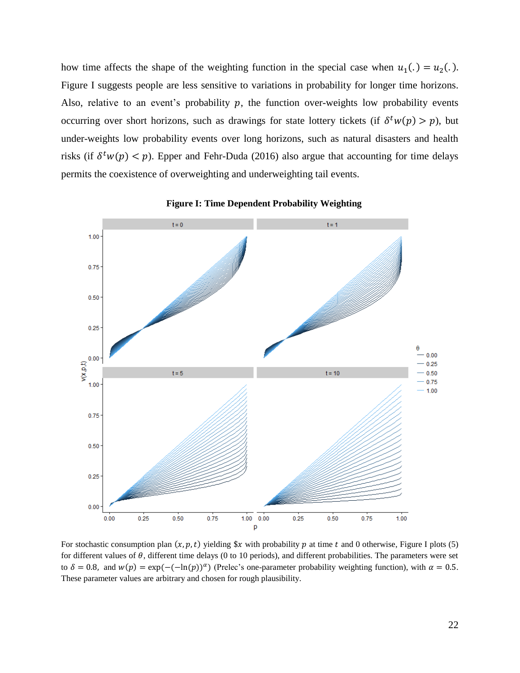how time affects the shape of the weighting function in the special case when  $u_1(.) = u_2(.)$ . Figure I suggests people are less sensitive to variations in probability for longer time horizons. Also, relative to an event's probability  $p$ , the function over-weights low probability events occurring over short horizons, such as drawings for state lottery tickets (if  $\delta^t w(p) > p$ ), but under-weights low probability events over long horizons, such as natural disasters and health risks (if  $\delta^t w(p) < p$ ). Epper and Fehr-Duda (2016) also argue that accounting for time delays permits the coexistence of overweighting and underweighting tail events.



**Figure I: Time Dependent Probability Weighting**

For stochastic consumption plan  $(x, p, t)$  yielding  $x$  with probability p at time t and 0 otherwise, Figure I plots (5) for different values of  $\theta$ , different time delays (0 to 10 periods), and different probabilities. The parameters were set to  $\delta = 0.8$ , and  $w(p) = \exp(-(-\ln(p))^{\alpha})$  (Prelec's one-parameter probability weighting function), with  $\alpha = 0.5$ . These parameter values are arbitrary and chosen for rough plausibility.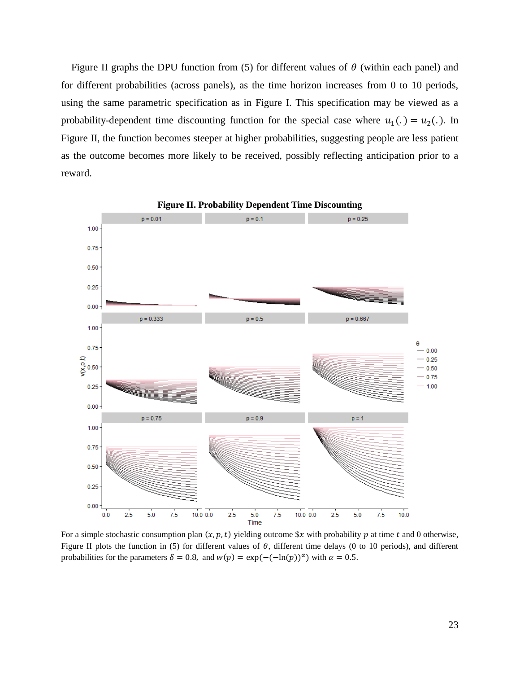Figure II graphs the DPU function from (5) for different values of  $\theta$  (within each panel) and for different probabilities (across panels), as the time horizon increases from 0 to 10 periods, using the same parametric specification as in Figure I. This specification may be viewed as a probability-dependent time discounting function for the special case where  $u_1(.) = u_2(.)$ . In Figure II, the function becomes steeper at higher probabilities, suggesting people are less patient as the outcome becomes more likely to be received, possibly reflecting anticipation prior to a reward.



For a simple stochastic consumption plan  $(x, p, t)$  yielding outcome  $x$  with probability  $p$  at time  $t$  and 0 otherwise, Figure II plots the function in (5) for different values of  $\theta$ , different time delays (0 to 10 periods), and different probabilities for the parameters  $\delta = 0.8$ , and  $w(p) = \exp(-(-\ln(p))^{\alpha})$  with  $\alpha = 0.5$ .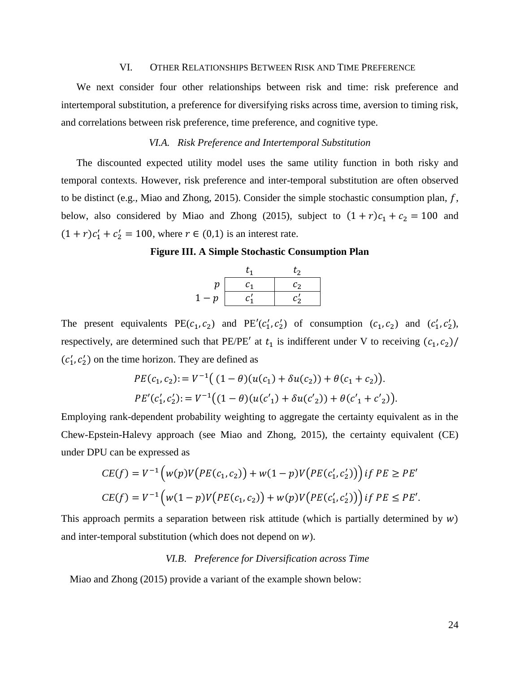#### VI. OTHER RELATIONSHIPS BETWEEN RISK AND TIME PREFERENCE

We next consider four other relationships between risk and time: risk preference and intertemporal substitution, a preference for diversifying risks across time, aversion to timing risk, and correlations between risk preference, time preference, and cognitive type.

# *VI.A. Risk Preference and Intertemporal Substitution*

The discounted expected utility model uses the same utility function in both risky and temporal contexts. However, risk preference and inter-temporal substitution are often observed to be distinct (e.g., Miao and Zhong, 2015). Consider the simple stochastic consumption plan,  $f$ , below, also considered by Miao and Zhong (2015), subject to  $(1 + r)c_1 + c_2 = 100$  and  $(1 + r)c'_1 + c'_2 = 100$ , where  $r \in (0,1)$  is an interest rate.

**Figure III. A Simple Stochastic Consumption Plan**

|      |    | t,                |
|------|----|-------------------|
| n    | C1 | $\mathcal{C}_{2}$ |
| $-p$ |    | r.                |

The present equivalents  $PE(c_1, c_2)$  and  $PE'(c'_1, c'_2)$  of consumption  $(c_1, c_2)$  and  $(c'_1, c'_2)$ , respectively, are determined such that PE/PE' at  $t_1$  is indifferent under V to receiving  $(c_1, c_2)$ /  $(c'_1, c'_2)$  on the time horizon. They are defined as

$$
PE(c_1, c_2) := V^{-1}((1 - \theta)(u(c_1) + \delta u(c_2)) + \theta(c_1 + c_2)).
$$
  
\n
$$
PE'(c'_1, c'_2) := V^{-1}((1 - \theta)(u(c'_1) + \delta u(c'_2)) + \theta(c'_1 + c'_2)).
$$

Employing rank-dependent probability weighting to aggregate the certainty equivalent as in the Chew-Epstein-Halevy approach (see Miao and Zhong, 2015), the certainty equivalent (CE) under DPU can be expressed as

$$
CE(f) = V^{-1} \Big( w(p) V \Big( PE(c_1, c_2) \Big) + w(1 - p) V \Big( PE(c'_1, c'_2) \Big) \Big) \, if \, PE \ge PE'
$$
\n
$$
CE(f) = V^{-1} \Big( w(1 - p) V \Big( PE(c_1, c_2) \Big) + w(p) V \Big( PE(c'_1, c'_2) \Big) \Big) \, if \, PE \le PE'.
$$

This approach permits a separation between risk attitude (which is partially determined by  $w$ ) and inter-temporal substitution (which does not depend on  $w$ ).

# *VI.B*. *Preference for Diversification across Time*

Miao and Zhong (2015) provide a variant of the example shown below: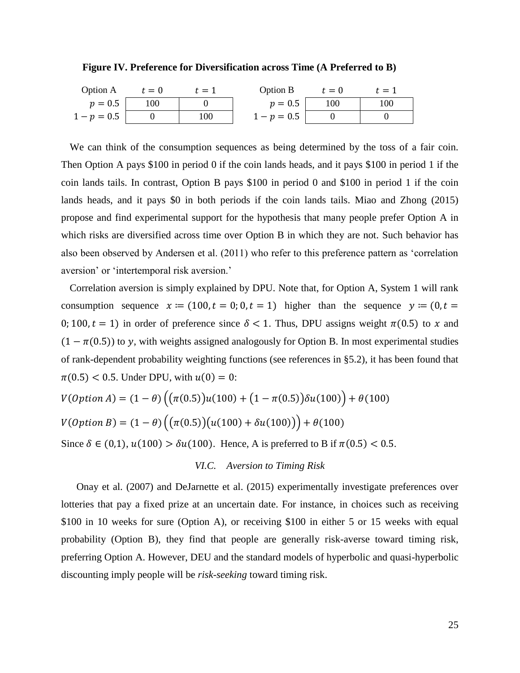**Figure IV. Preference for Diversification across Time (A Preferred to B)**

| <b>Option A</b> | $t=0$  | $t=1$ | Option B    | $t=0$ | $t=1$ |
|-----------------|--------|-------|-------------|-------|-------|
| $p=0.5$         | $00\,$ |       | $p = 0.5$   | 100   | 100   |
| $1-p = 0.5$     |        | 100   | $1-p = 0.5$ |       |       |

We can think of the consumption sequences as being determined by the toss of a fair coin. Then Option A pays \$100 in period 0 if the coin lands heads, and it pays \$100 in period 1 if the coin lands tails. In contrast, Option B pays \$100 in period 0 and \$100 in period 1 if the coin lands heads, and it pays \$0 in both periods if the coin lands tails. Miao and Zhong (2015) propose and find experimental support for the hypothesis that many people prefer Option A in which risks are diversified across time over Option B in which they are not. Such behavior has also been observed by Andersen et al. (2011) who refer to this preference pattern as 'correlation aversion' or 'intertemporal risk aversion.'

Correlation aversion is simply explained by DPU. Note that, for Option A, System 1 will rank consumption sequence  $x := (100, t = 0; 0, t = 1)$  higher than the sequence  $y := (0, t = 1)$ 0; 100,  $t = 1$ ) in order of preference since  $\delta < 1$ . Thus, DPU assigns weight  $\pi(0.5)$  to x and  $(1 - \pi(0.5))$  to y, with weights assigned analogously for Option B. In most experimental studies of rank-dependent probability weighting functions (see references in §5.2), it has been found that  $\pi(0.5)$  < 0.5. Under DPU, with  $u(0) = 0$ :

$$
V(Option A) = (1 - \theta) ((\pi(0.5))u(100) + (1 - \pi(0.5))\delta u(100)) + \theta(100)
$$

$$
V(Option B) = (1 - \theta) ((\pi(0.5))(u(100) + \delta u(100))) + \theta(100)
$$

Since  $\delta \in (0,1)$ ,  $u(100) > \delta u(100)$ . Hence, A is preferred to B if  $\pi(0.5) < 0.5$ .

# *VI.C. Aversion to Timing Risk*

Onay et al. (2007) and DeJarnette et al. (2015) experimentally investigate preferences over lotteries that pay a fixed prize at an uncertain date. For instance, in choices such as receiving \$100 in 10 weeks for sure (Option A), or receiving \$100 in either 5 or 15 weeks with equal probability (Option B), they find that people are generally risk-averse toward timing risk, preferring Option A. However, DEU and the standard models of hyperbolic and quasi-hyperbolic discounting imply people will be *risk-seeking* toward timing risk.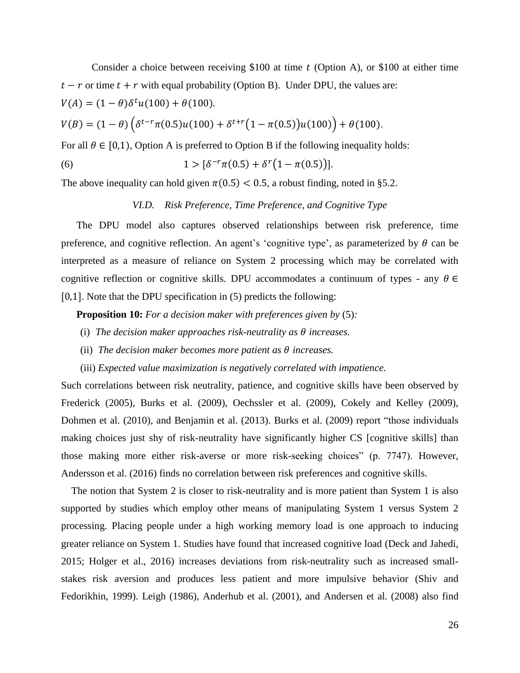Consider a choice between receiving \$100 at time  $t$  (Option A), or \$100 at either time  $t - r$  or time  $t + r$  with equal probability (Option B). Under DPU, the values are:  $V(A) = (1 - \theta)\delta^t u(100) + \theta(100).$ 

$$
V(B) = (1 - \theta) \left( \delta^{t - r} \pi(0.5) u(100) + \delta^{t + r} \left( 1 - \pi(0.5) \right) u(100) \right) + \theta(100).
$$

For all  $\theta \in [0,1)$ , Option A is preferred to Option B if the following inequality holds:

(6) 
$$
1 > [\delta^{-r}\pi(0.5) + \delta^{r}(1 - \pi(0.5))].
$$

The above inequality can hold given  $\pi(0.5) < 0.5$ , a robust finding, noted in §5.2.

# *VI.D. Risk Preference, Time Preference, and Cognitive Type*

The DPU model also captures observed relationships between risk preference, time preference, and cognitive reflection. An agent's 'cognitive type', as parameterized by  $\theta$  can be interpreted as a measure of reliance on System 2 processing which may be correlated with cognitive reflection or cognitive skills. DPU accommodates a continuum of types - any  $\theta \in$ [0,1]. Note that the DPU specification in (5) predicts the following:

**Proposition 10:** *For a decision maker with preferences given by* (5)*:*

- (i) The decision maker approaches risk-neutrality as  $\theta$  increases.
- (ii) The decision maker becomes more patient as  $\theta$  increases.
- (iii) *Expected value maximization is negatively correlated with impatience.*

Such correlations between risk neutrality, patience, and cognitive skills have been observed by Frederick (2005), Burks et al. (2009), Oechssler et al. (2009), Cokely and Kelley (2009), Dohmen et al. (2010), and Benjamin et al. (2013). Burks et al. (2009) report "those individuals making choices just shy of risk-neutrality have significantly higher CS [cognitive skills] than those making more either risk-averse or more risk-seeking choices" (p. 7747). However, Andersson et al. (2016) finds no correlation between risk preferences and cognitive skills.

 The notion that System 2 is closer to risk-neutrality and is more patient than System 1 is also supported by studies which employ other means of manipulating System 1 versus System 2 processing. Placing people under a high working memory load is one approach to inducing greater reliance on System 1. Studies have found that increased cognitive load (Deck and Jahedi, 2015; Holger et al., 2016) increases deviations from risk-neutrality such as increased smallstakes risk aversion and produces less patient and more impulsive behavior (Shiv and Fedorikhin, 1999). Leigh (1986), Anderhub et al. (2001), and Andersen et al. (2008) also find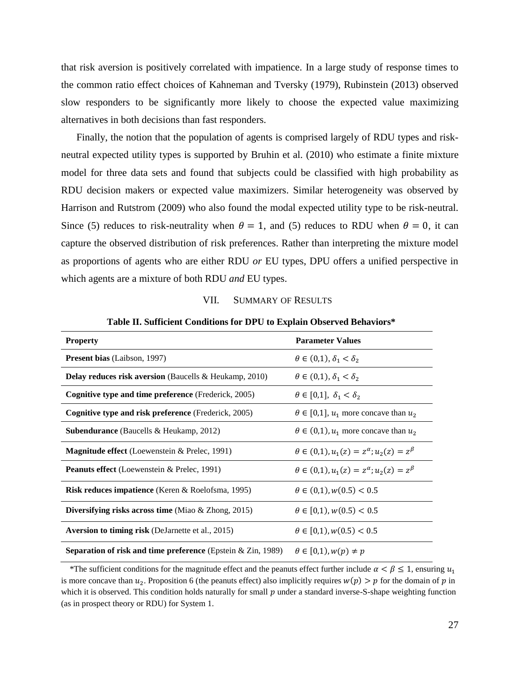that risk aversion is positively correlated with impatience. In a large study of response times to the common ratio effect choices of Kahneman and Tversky (1979), Rubinstein (2013) observed slow responders to be significantly more likely to choose the expected value maximizing alternatives in both decisions than fast responders.

Finally, the notion that the population of agents is comprised largely of RDU types and riskneutral expected utility types is supported by Bruhin et al. (2010) who estimate a finite mixture model for three data sets and found that subjects could be classified with high probability as RDU decision makers or expected value maximizers. Similar heterogeneity was observed by Harrison and Rutstrom (2009) who also found the modal expected utility type to be risk-neutral. Since (5) reduces to risk-neutrality when  $\theta = 1$ , and (5) reduces to RDU when  $\theta = 0$ , it can capture the observed distribution of risk preferences. Rather than interpreting the mixture model as proportions of agents who are either RDU *or* EU types, DPU offers a unified perspective in which agents are a mixture of both RDU *and* EU types.

#### VII. SUMMARY OF RESULTS

| <b>Property</b>                                                        | <b>Parameter Values</b>                                     |
|------------------------------------------------------------------------|-------------------------------------------------------------|
| <b>Present bias</b> (Laibson, 1997)                                    | $\theta \in (0,1)$ , $\delta_1 < \delta_2$                  |
| <b>Delay reduces risk aversion</b> (Baucells $\&$ Heukamp, 2010)       | $\theta \in (0,1), \delta_1 < \delta_2$                     |
| <b>Cognitive type and time preference</b> (Frederick, 2005)            | $\theta \in [0,1], \delta_1 < \delta_2$                     |
| <b>Cognitive type and risk preference</b> (Frederick, 2005)            | $\theta \in [0,1]$ , $u_1$ more concave than $u_2$          |
| <b>Subendurance</b> (Baucells & Heukamp, 2012)                         | $\theta \in (0,1)$ , $u_1$ more concave than $u_2$          |
| <b>Magnitude effect</b> (Loewenstein & Prelec, 1991)                   | $\theta \in (0,1), u_1(z) = z^{\alpha}; u_2(z) = z^{\beta}$ |
| <b>Peanuts effect</b> (Loewenstein & Prelec, 1991)                     | $\theta \in (0,1), u_1(z) = z^{\alpha}; u_2(z) = z^{\beta}$ |
| Risk reduces impatience (Keren & Roelofsma, 1995)                      | $\theta \in (0,1), w(0.5) < 0.5$                            |
| Diversifying risks across time (Miao $\&$ Zhong, 2015)                 | $\theta \in [0,1)$ , $w(0.5) < 0.5$                         |
| <b>Aversion to timing risk</b> (DeJarnette et al., 2015)               | $\theta \in [0,1)$ , $w(0.5) < 0.5$                         |
| <b>Separation of risk and time preference</b> (Epstein $\&$ Zin, 1989) | $\theta \in [0,1), w(p) \neq p$                             |

**Table II. Sufficient Conditions for DPU to Explain Observed Behaviors\***

\*The sufficient conditions for the magnitude effect and the peanuts effect further include  $\alpha < \beta \leq 1$ , ensuring  $u_1$ is more concave than  $u_2$ . Proposition 6 (the peanuts effect) also implicitly requires  $w(p) > p$  for the domain of  $p$  in which it is observed. This condition holds naturally for small  $p$  under a standard inverse-S-shape weighting function (as in prospect theory or RDU) for System 1.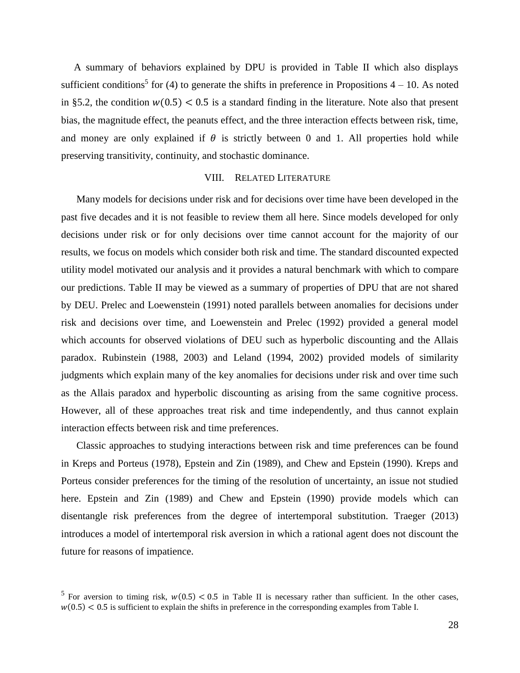A summary of behaviors explained by DPU is provided in Table II which also displays sufficient conditions<sup>5</sup> for (4) to generate the shifts in preference in Propositions  $4 - 10$ . As noted in §5.2, the condition  $w(0.5)$  < 0.5 is a standard finding in the literature. Note also that present bias, the magnitude effect, the peanuts effect, and the three interaction effects between risk, time, and money are only explained if  $\theta$  is strictly between 0 and 1. All properties hold while preserving transitivity, continuity, and stochastic dominance.

# VIII. RELATED LITERATURE

Many models for decisions under risk and for decisions over time have been developed in the past five decades and it is not feasible to review them all here. Since models developed for only decisions under risk or for only decisions over time cannot account for the majority of our results, we focus on models which consider both risk and time. The standard discounted expected utility model motivated our analysis and it provides a natural benchmark with which to compare our predictions. Table II may be viewed as a summary of properties of DPU that are not shared by DEU. Prelec and Loewenstein (1991) noted parallels between anomalies for decisions under risk and decisions over time, and Loewenstein and Prelec (1992) provided a general model which accounts for observed violations of DEU such as hyperbolic discounting and the Allais paradox. Rubinstein (1988, 2003) and Leland (1994, 2002) provided models of similarity judgments which explain many of the key anomalies for decisions under risk and over time such as the Allais paradox and hyperbolic discounting as arising from the same cognitive process. However, all of these approaches treat risk and time independently, and thus cannot explain interaction effects between risk and time preferences.

Classic approaches to studying interactions between risk and time preferences can be found in Kreps and Porteus (1978), Epstein and Zin (1989), and Chew and Epstein (1990). Kreps and Porteus consider preferences for the timing of the resolution of uncertainty, an issue not studied here. Epstein and Zin (1989) and Chew and Epstein (1990) provide models which can disentangle risk preferences from the degree of intertemporal substitution. Traeger (2013) introduces a model of intertemporal risk aversion in which a rational agent does not discount the future for reasons of impatience.

<sup>&</sup>lt;sup>5</sup> For aversion to timing risk,  $w(0.5) < 0.5$  in Table II is necessary rather than sufficient. In the other cases,  $w(0.5)$  < 0.5 is sufficient to explain the shifts in preference in the corresponding examples from Table I.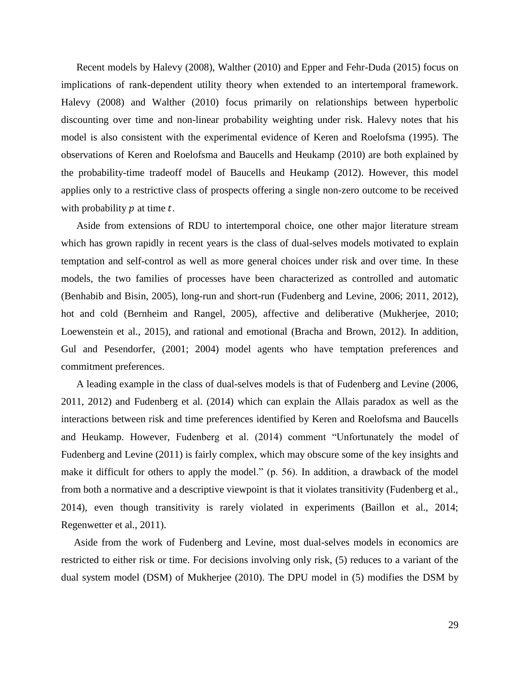Recent models by Halevy (2008), Walther (2010) and Epper and Fehr-Duda (2015) focus on implications of rank-dependent utility theory when extended to an intertemporal framework. Halevy (2008) and Walther (2010) focus primarily on relationships between hyperbolic discounting over time and non-linear probability weighting under risk. Halevy notes that his model is also consistent with the experimental evidence of Keren and Roelofsma (1995). The observations of Keren and Roelofsma and Baucells and Heukamp (2010) are both explained by the probability-time tradeoff model of Baucells and Heukamp (2012). However, this model applies only to a restrictive class of prospects offering a single non-zero outcome to be received with probability  $p$  at time  $t$ .

Aside from extensions of RDU to intertemporal choice, one other major literature stream which has grown rapidly in recent years is the class of dual-selves models motivated to explain temptation and self-control as well as more general choices under risk and over time. In these models, the two families of processes have been characterized as controlled and automatic (Benhabib and Bisin, 2005), long-run and short-run (Fudenberg and Levine, 2006; 2011, 2012), hot and cold (Bernheim and Rangel, 2005), affective and deliberative (Mukherjee, 2010; Loewenstein et al., 2015), and rational and emotional (Bracha and Brown, 2012). In addition, Gul and Pesendorfer, (2001; 2004) model agents who have temptation preferences and commitment preferences.

A leading example in the class of dual-selves models is that of Fudenberg and Levine (2006, 2011, 2012) and Fudenberg et al. (2014) which can explain the Allais paradox as well as the interactions between risk and time preferences identified by Keren and Roelofsma and Baucells and Heukamp. However, Fudenberg et al. (2014) comment "Unfortunately the model of Fudenberg and Levine (2011) is fairly complex, which may obscure some of the key insights and make it difficult for others to apply the model." (p. 56). In addition, a drawback of the model from both a normative and a descriptive viewpoint is that it violates transitivity (Fudenberg et al., 2014), even though transitivity is rarely violated in experiments (Baillon et al., 2014; Regenwetter et al., 2011).

 Aside from the work of Fudenberg and Levine, most dual-selves models in economics are restricted to either risk or time. For decisions involving only risk, (5) reduces to a variant of the dual system model (DSM) of Mukherjee (2010). The DPU model in (5) modifies the DSM by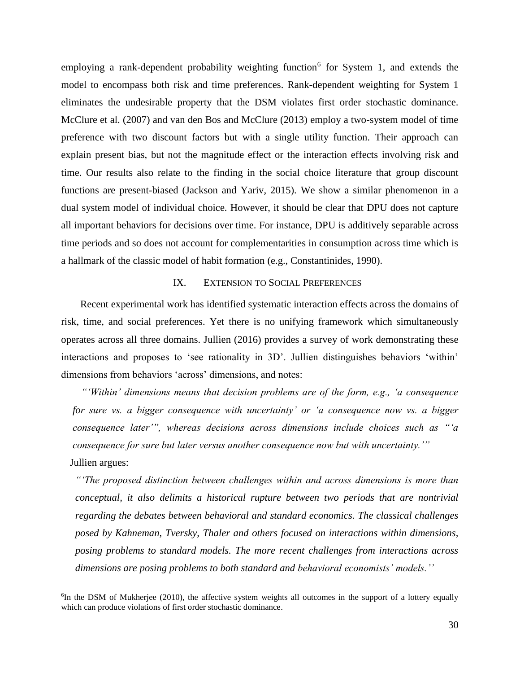employing a rank-dependent probability weighting function<sup>6</sup> for System 1, and extends the model to encompass both risk and time preferences. Rank-dependent weighting for System 1 eliminates the undesirable property that the DSM violates first order stochastic dominance. McClure et al. (2007) and van den Bos and McClure (2013) employ a two-system model of time preference with two discount factors but with a single utility function. Their approach can explain present bias, but not the magnitude effect or the interaction effects involving risk and time. Our results also relate to the finding in the social choice literature that group discount functions are present-biased (Jackson and Yariv, 2015). We show a similar phenomenon in a dual system model of individual choice. However, it should be clear that DPU does not capture all important behaviors for decisions over time. For instance, DPU is additively separable across time periods and so does not account for complementarities in consumption across time which is a hallmark of the classic model of habit formation (e.g., Constantinides, 1990).

## IX. EXTENSION TO SOCIAL PREFERENCES

 Recent experimental work has identified systematic interaction effects across the domains of risk, time, and social preferences. Yet there is no unifying framework which simultaneously operates across all three domains. Jullien (2016) provides a survey of work demonstrating these interactions and proposes to 'see rationality in 3D'. Jullien distinguishes behaviors 'within' dimensions from behaviors 'across' dimensions, and notes:

*"'Within' dimensions means that decision problems are of the form, e.g., 'a consequence for sure vs. a bigger consequence with uncertainty' or 'a consequence now vs. a bigger consequence later'", whereas decisions across dimensions include choices such as "'a consequence for sure but later versus another consequence now but with uncertainty.'"* Jullien argues:

*"'The proposed distinction between challenges within and across dimensions is more than conceptual, it also delimits a historical rupture between two periods that are nontrivial regarding the debates between behavioral and standard economics. The classical challenges posed by Kahneman, Tversky, Thaler and others focused on interactions within dimensions, posing problems to standard models. The more recent challenges from interactions across dimensions are posing problems to both standard and behavioral economists' models.''* 

<sup>6</sup>In the DSM of Mukherjee (2010), the affective system weights all outcomes in the support of a lottery equally which can produce violations of first order stochastic dominance.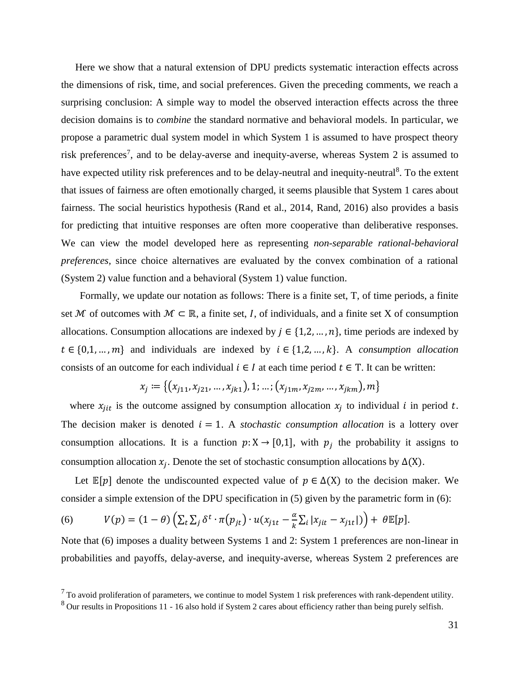Here we show that a natural extension of DPU predicts systematic interaction effects across the dimensions of risk, time, and social preferences. Given the preceding comments, we reach a surprising conclusion: A simple way to model the observed interaction effects across the three decision domains is to *combine* the standard normative and behavioral models. In particular, we propose a parametric dual system model in which System 1 is assumed to have prospect theory risk preferences<sup>7</sup>, and to be delay-averse and inequity-averse, whereas System 2 is assumed to have expected utility risk preferences and to be delay-neutral and inequity-neutral<sup>8</sup>. To the extent that issues of fairness are often emotionally charged, it seems plausible that System 1 cares about fairness. The social heuristics hypothesis (Rand et al., 2014, Rand, 2016) also provides a basis for predicting that intuitive responses are often more cooperative than deliberative responses. We can view the model developed here as representing *non-separable rational-behavioral preferences,* since choice alternatives are evaluated by the convex combination of a rational (System 2) value function and a behavioral (System 1) value function.

 Formally, we update our notation as follows: There is a finite set, T, of time periods, a finite set M of outcomes with  $M \subset \mathbb{R}$ , a finite set, I, of individuals, and a finite set X of consumption allocations. Consumption allocations are indexed by  $j \in \{1,2,\ldots,n\}$ , time periods are indexed by  $t \in \{0,1,\ldots,m\}$  and individuals are indexed by  $i \in \{1,2,\ldots,k\}$ . A *consumption allocation* consists of an outcome for each individual  $i \in I$  at each time period  $t \in T$ . It can be written:

$$
x_j := \{ (x_{j11}, x_{j21}, \dots, x_{jk1}), 1; \dots; (x_{j1m}, x_{j2m}, \dots, x_{jkm}), m \}
$$

where  $x_{jit}$  is the outcome assigned by consumption allocation  $x_j$  to individual i in period t. The decision maker is denoted  $i = 1$ . A *stochastic consumption allocation* is a lottery over consumption allocations. It is a function  $p: X \to [0,1]$ , with  $p_j$  the probability it assigns to consumption allocation  $x_j$ . Denote the set of stochastic consumption allocations by  $\Delta(X)$ .

Let  $\mathbb{E}[p]$  denote the undiscounted expected value of  $p \in \Delta(X)$  to the decision maker. We consider a simple extension of the DPU specification in (5) given by the parametric form in (6):

(6) 
$$
V(p) = (1 - \theta) \left( \sum_{t} \sum_{j} \delta^{t} \cdot \pi(p_{jt}) \cdot u(x_{j1t} - \frac{\alpha}{k} \sum_{i} |x_{jit} - x_{j1t}|) \right) + \theta \mathbb{E}[p].
$$

Note that (6) imposes a duality between Systems 1 and 2: System 1 preferences are non-linear in probabilities and payoffs, delay-averse, and inequity-averse, whereas System 2 preferences are

 $7$  To avoid proliferation of parameters, we continue to model System 1 risk preferences with rank-dependent utility.

<sup>&</sup>lt;sup>8</sup> Our results in Propositions 11 - 16 also hold if System 2 cares about efficiency rather than being purely selfish.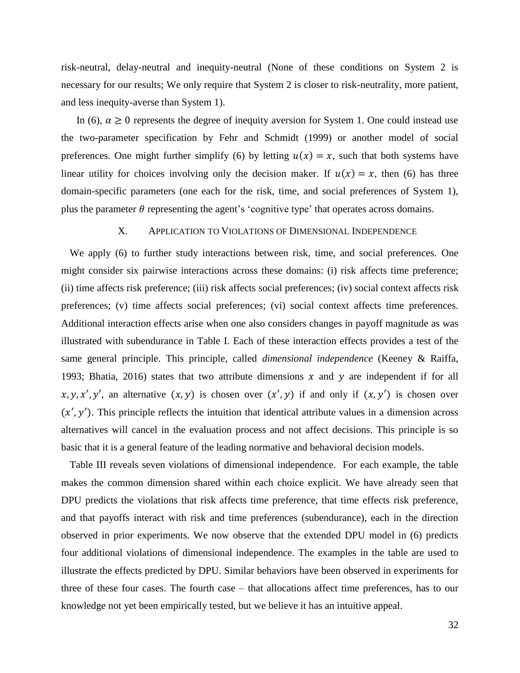risk-neutral, delay-neutral and inequity-neutral (None of these conditions on System 2 is necessary for our results; We only require that System 2 is closer to risk-neutrality, more patient, and less inequity-averse than System 1).

In (6),  $\alpha \geq 0$  represents the degree of inequity aversion for System 1. One could instead use the two-parameter specification by Fehr and Schmidt (1999) or another model of social preferences. One might further simplify (6) by letting  $u(x) = x$ , such that both systems have linear utility for choices involving only the decision maker. If  $u(x) = x$ , then (6) has three domain-specific parameters (one each for the risk, time, and social preferences of System 1), plus the parameter  $\theta$  representing the agent's 'cognitive type' that operates across domains.

# X. APPLICATION TO VIOLATIONS OF DIMENSIONAL INDEPENDENCE

We apply (6) to further study interactions between risk, time, and social preferences. One might consider six pairwise interactions across these domains: (i) risk affects time preference; (ii) time affects risk preference; (iii) risk affects social preferences; (iv) social context affects risk preferences; (v) time affects social preferences; (vi) social context affects time preferences. Additional interaction effects arise when one also considers changes in payoff magnitude as was illustrated with subendurance in Table I. Each of these interaction effects provides a test of the same general principle. This principle, called *dimensional independence* (Keeney & Raiffa, 1993; Bhatia, 2016) states that two attribute dimensions  $x$  and  $y$  are independent if for all x, y, x', y', an alternative  $(x, y)$  is chosen over  $(x', y)$  if and only if  $(x, y')$  is chosen over  $(x', y')$ . This principle reflects the intuition that identical attribute values in a dimension across alternatives will cancel in the evaluation process and not affect decisions. This principle is so basic that it is a general feature of the leading normative and behavioral decision models.

Table III reveals seven violations of dimensional independence. For each example, the table makes the common dimension shared within each choice explicit. We have already seen that DPU predicts the violations that risk affects time preference, that time effects risk preference, and that payoffs interact with risk and time preferences (subendurance), each in the direction observed in prior experiments. We now observe that the extended DPU model in (6) predicts four additional violations of dimensional independence. The examples in the table are used to illustrate the effects predicted by DPU. Similar behaviors have been observed in experiments for three of these four cases. The fourth case – that allocations affect time preferences, has to our knowledge not yet been empirically tested, but we believe it has an intuitive appeal.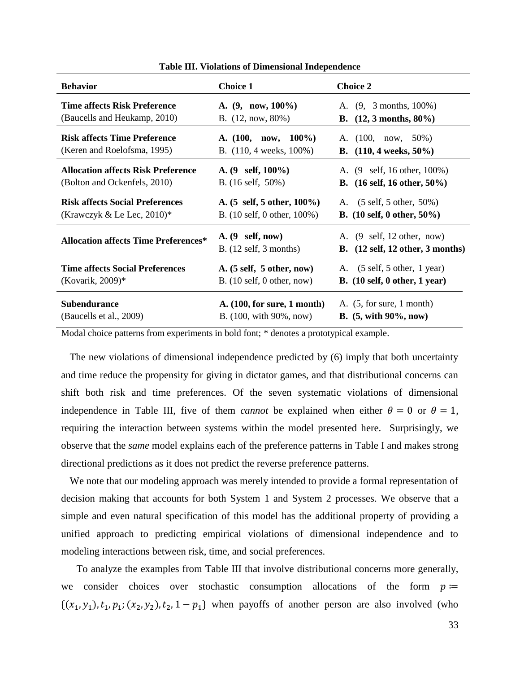| <b>Behavior</b>                             | <b>Choice 1</b>                                                        | <b>Choice 2</b>                                                                                                   |
|---------------------------------------------|------------------------------------------------------------------------|-------------------------------------------------------------------------------------------------------------------|
| Time affects Risk Preference                | A. $(9, now, 100\%)$                                                   | A. (9, 3 months, 100%)                                                                                            |
| (Baucells and Heukamp, 2010)                | B. $(12, now, 80\%)$                                                   | <b>B.</b> $(12, 3 \text{ months}, 80\%)$                                                                          |
| <b>Risk affects Time Preference</b>         | A. $(100, now, 100\%)$                                                 | A. $(100, now, 50\%)$                                                                                             |
| (Keren and Roelofsma, 1995)                 | B. $(110, 4 \text{ weeks}, 100\%)$                                     | <b>B.</b> $(110, 4 \text{ weeks}, 50\%)$                                                                          |
| <b>Allocation affects Risk Preference</b>   | A. $(9 \text{ self}, 100\%)$                                           | A. $(9 \text{ self}, 16 \text{ other}, 100\%)$                                                                    |
| (Bolton and Ockenfels, 2010)                | B. $(16 \text{ self}, 50\%)$                                           | B. $(16 \text{ self}, 16 \text{ other}, 50\%)$                                                                    |
| <b>Risk affects Social Preferences</b>      | A. $(5 \text{ self}, 5 \text{ other}, 100\%)$                          | A. (5 self, 5 other, 50%)                                                                                         |
| (Krawczyk & Le Lec, $2010$ )*               | B. $(10 \text{ self}, 0 \text{ other}, 100\%)$                         | B. $(10 \text{ self}, 0 \text{ other}, 50\%)$                                                                     |
| <b>Allocation affects Time Preferences*</b> | $A. (9 \text{ self}, now)$<br>$B. (12 \text{ self}, 3 \text{ months})$ | A. $(9 \text{ self}, 12 \text{ other}, \text{now})$<br>B. $(12 \text{ self}, 12 \text{ other}, 3 \text{ months})$ |
| <b>Time affects Social Preferences</b>      | A. $(5 \text{ self}, 5 \text{ other}, \text{now})$                     | A. (5 self, 5 other, 1 year)                                                                                      |
| (Kovarik, $2009$ )*                         | B. $(10 \text{ self}, 0 \text{ other}, \text{now})$                    | B. $(10 \text{ self}, 0 \text{ other}, 1 \text{ year})$                                                           |
| <b>Subendurance</b>                         | A. (100, for sure, 1 month)                                            | A. $(5, for sure, 1 month)$                                                                                       |
| (Baucells et al., 2009)                     | B. (100, with 90%, now)                                                | <b>B.</b> $(5, \text{with } 90\%, \text{now})$                                                                    |

**Table III. Violations of Dimensional Independence**

Modal choice patterns from experiments in bold font; \* denotes a prototypical example.

The new violations of dimensional independence predicted by (6) imply that both uncertainty and time reduce the propensity for giving in dictator games, and that distributional concerns can shift both risk and time preferences. Of the seven systematic violations of dimensional independence in Table III, five of them *cannot* be explained when either  $\theta = 0$  or  $\theta = 1$ , requiring the interaction between systems within the model presented here. Surprisingly, we observe that the *same* model explains each of the preference patterns in Table I and makes strong directional predictions as it does not predict the reverse preference patterns.

We note that our modeling approach was merely intended to provide a formal representation of decision making that accounts for both System 1 and System 2 processes. We observe that a simple and even natural specification of this model has the additional property of providing a unified approach to predicting empirical violations of dimensional independence and to modeling interactions between risk, time, and social preferences.

To analyze the examples from Table III that involve distributional concerns more generally, we consider choices over stochastic consumption allocations of the form  $p \coloneqq$  $\{(x_1, y_1), t_1, p_1; (x_2, y_2), t_2, 1 - p_1\}$  when payoffs of another person are also involved (who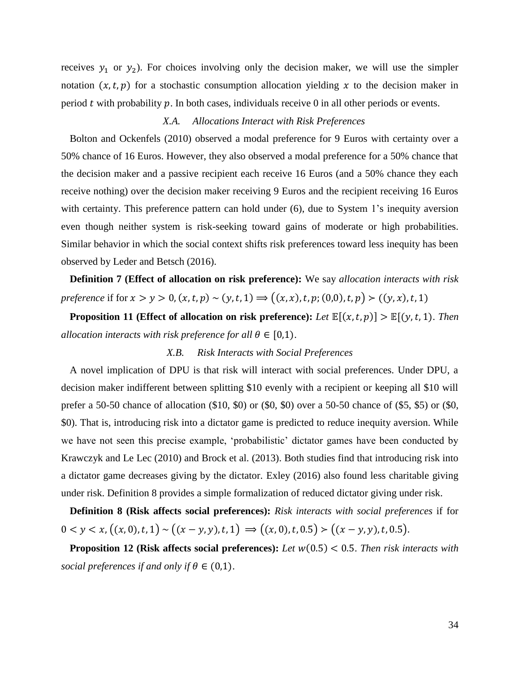receives  $y_1$  or  $y_2$ ). For choices involving only the decision maker, we will use the simpler notation  $(x, t, p)$  for a stochastic consumption allocation yielding x to the decision maker in period  $t$  with probability  $p$ . In both cases, individuals receive 0 in all other periods or events.

# *X.A. Allocations Interact with Risk Preferences*

Bolton and Ockenfels (2010) observed a modal preference for 9 Euros with certainty over a 50% chance of 16 Euros. However, they also observed a modal preference for a 50% chance that the decision maker and a passive recipient each receive 16 Euros (and a 50% chance they each receive nothing) over the decision maker receiving 9 Euros and the recipient receiving 16 Euros with certainty. This preference pattern can hold under (6), due to System 1's inequity aversion even though neither system is risk-seeking toward gains of moderate or high probabilities. Similar behavior in which the social context shifts risk preferences toward less inequity has been observed by Leder and Betsch (2016).

**Definition 7 (Effect of allocation on risk preference):** We say *allocation interacts with risk preference* if for  $x > y > 0$ ,  $(x, t, p) \sim (y, t, 1) \Longrightarrow ((x, x), t, p; (0, 0), t, p) > ((y, x), t, 1)$ 

**Proposition 11** (Effect of allocation on risk preference): Let  $\mathbb{E}[(x,t,p)] > \mathbb{E}[(y,t,1)]$ . *Then allocation interacts with risk preference for all*  $\theta \in [0,1)$ .

# *X.B. Risk Interacts with Social Preferences*

A novel implication of DPU is that risk will interact with social preferences. Under DPU, a decision maker indifferent between splitting \$10 evenly with a recipient or keeping all \$10 will prefer a 50-50 chance of allocation (\$10, \$0) or (\$0, \$0) over a 50-50 chance of (\$5, \$5) or (\$0, \$0). That is, introducing risk into a dictator game is predicted to reduce inequity aversion. While we have not seen this precise example, 'probabilistic' dictator games have been conducted by Krawczyk and Le Lec (2010) and Brock et al. (2013). Both studies find that introducing risk into a dictator game decreases giving by the dictator. Exley (2016) also found less charitable giving under risk. Definition 8 provides a simple formalization of reduced dictator giving under risk.

**Definition 8 (Risk affects social preferences):** *Risk interacts with social preferences* if for  $0 < y < x, ((x, 0), t, 1) \sim ((x - y, y), t, 1) \Rightarrow ((x, 0), t, 0.5) > ((x - y, y), t, 0.5).$ 

**Proposition 12 (Risk affects social preferences):** Let  $w(0.5) < 0.5$ . Then risk interacts with *social preferences if and only if*  $\theta \in (0,1)$ .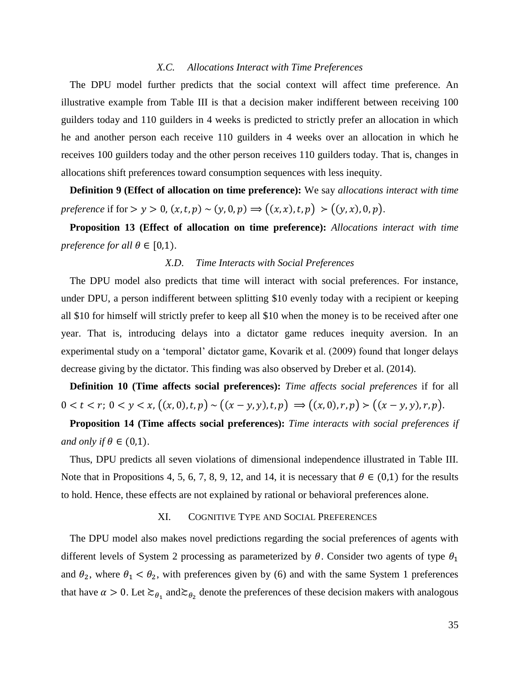# *X.C. Allocations Interact with Time Preferences*

The DPU model further predicts that the social context will affect time preference. An illustrative example from Table III is that a decision maker indifferent between receiving 100 guilders today and 110 guilders in 4 weeks is predicted to strictly prefer an allocation in which he and another person each receive 110 guilders in 4 weeks over an allocation in which he receives 100 guilders today and the other person receives 110 guilders today. That is, changes in allocations shift preferences toward consumption sequences with less inequity.

**Definition 9 (Effect of allocation on time preference):** We say *allocations interact with time preference* if for  $> y > 0$ ,  $(x, t, p) \sim (y, 0, p) \Rightarrow ((x, x), t, p) > ((y, x), 0, p)$ .

**Proposition 13 (Effect of allocation on time preference):** *Allocations interact with time preference for all*  $\theta \in [0,1)$ .

# *X.D*. *Time Interacts with Social Preferences*

The DPU model also predicts that time will interact with social preferences. For instance, under DPU, a person indifferent between splitting \$10 evenly today with a recipient or keeping all \$10 for himself will strictly prefer to keep all \$10 when the money is to be received after one year. That is, introducing delays into a dictator game reduces inequity aversion. In an experimental study on a 'temporal' dictator game, Kovarik et al. (2009) found that longer delays decrease giving by the dictator. This finding was also observed by Dreber et al. (2014).

**Definition 10 (Time affects social preferences):** *Time affects social preferences* if for all  $0 < t < r$ ;  $0 < y < x$ ,  $((x, 0), t, p) \sim ((x - y, y), t, p) \Rightarrow ((x, 0), r, p) > ((x - y, y), r, p)$ .

**Proposition 14 (Time affects social preferences):** *Time interacts with social preferences if and only if*  $\theta \in (0,1)$ .

Thus, DPU predicts all seven violations of dimensional independence illustrated in Table III. Note that in Propositions 4, 5, 6, 7, 8, 9, 12, and 14, it is necessary that  $\theta \in (0,1)$  for the results to hold. Hence, these effects are not explained by rational or behavioral preferences alone.

#### XI. COGNITIVE TYPE AND SOCIAL PREFERENCES

The DPU model also makes novel predictions regarding the social preferences of agents with different levels of System 2 processing as parameterized by  $\theta$ . Consider two agents of type  $\theta_1$ and  $\theta_2$ , where  $\theta_1 < \theta_2$ , with preferences given by (6) and with the same System 1 preferences that have  $\alpha > 0$ . Let  $\gtrsim_{\theta_1}$  and $\gtrsim_{\theta_2}$  denote the preferences of these decision makers with analogous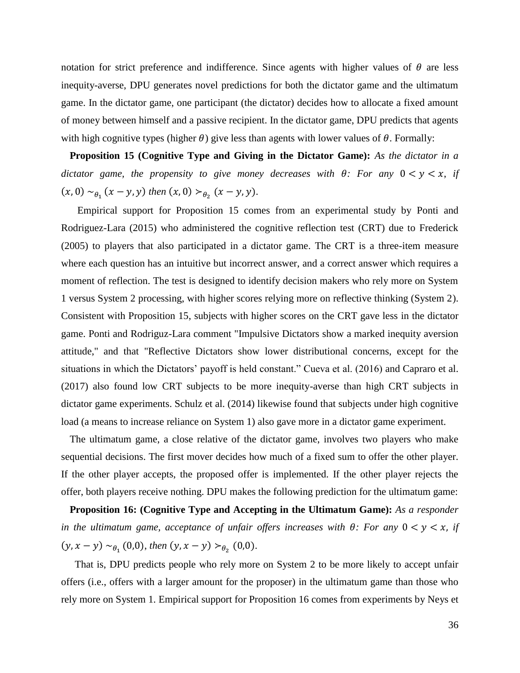notation for strict preference and indifference. Since agents with higher values of  $\theta$  are less inequity-averse, DPU generates novel predictions for both the dictator game and the ultimatum game. In the dictator game, one participant (the dictator) decides how to allocate a fixed amount of money between himself and a passive recipient. In the dictator game, DPU predicts that agents with high cognitive types (higher  $\theta$ ) give less than agents with lower values of  $\theta$ . Formally:

**Proposition 15 (Cognitive Type and Giving in the Dictator Game):** *As the dictator in a dictator game, the propensity to give money decreases with*  $\theta$ *: For any*  $0 < y < x$ , *if*  $(x, 0) \sim_{\theta_1} (x - y, y)$  then  $(x, 0) >_{\theta_2} (x - y, y)$ .

 Empirical support for Proposition 15 comes from an experimental study by Ponti and Rodriguez-Lara (2015) who administered the cognitive reflection test (CRT) due to Frederick (2005) to players that also participated in a dictator game. The CRT is a three-item measure where each question has an intuitive but incorrect answer, and a correct answer which requires a moment of reflection. The test is designed to identify decision makers who rely more on System 1 versus System 2 processing, with higher scores relying more on reflective thinking (System 2). Consistent with Proposition 15, subjects with higher scores on the CRT gave less in the dictator game. Ponti and Rodriguz-Lara comment "Impulsive Dictators show a marked inequity aversion attitude," and that "Reflective Dictators show lower distributional concerns, except for the situations in which the Dictators' payoff is held constant." Cueva et al. (2016) and Capraro et al. (2017) also found low CRT subjects to be more inequity-averse than high CRT subjects in dictator game experiments. Schulz et al. (2014) likewise found that subjects under high cognitive load (a means to increase reliance on System 1) also gave more in a dictator game experiment.

The ultimatum game, a close relative of the dictator game, involves two players who make sequential decisions. The first mover decides how much of a fixed sum to offer the other player. If the other player accepts, the proposed offer is implemented. If the other player rejects the offer, both players receive nothing. DPU makes the following prediction for the ultimatum game:

**Proposition 16: (Cognitive Type and Accepting in the Ultimatum Game):** *As a responder in the ultimatum game, acceptance of unfair offers increases with*  $\theta$ *: For any*  $0 < y < x$ , *if*  $(y, x - y) \sim_{\theta_1} (0, 0),$  then  $(y, x - y) >_{\theta_2} (0, 0).$ 

 That is, DPU predicts people who rely more on System 2 to be more likely to accept unfair offers (i.e., offers with a larger amount for the proposer) in the ultimatum game than those who rely more on System 1. Empirical support for Proposition 16 comes from experiments by Neys et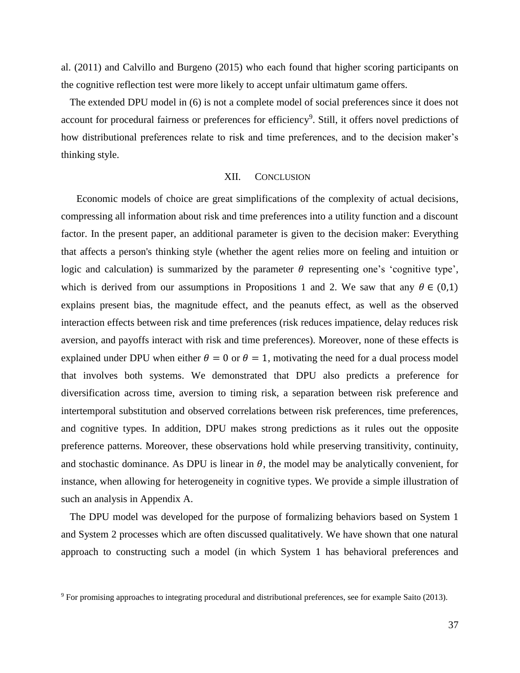al. (2011) and Calvillo and Burgeno (2015) who each found that higher scoring participants on the cognitive reflection test were more likely to accept unfair ultimatum game offers.

The extended DPU model in (6) is not a complete model of social preferences since it does not account for procedural fairness or preferences for efficiency<sup>9</sup>. Still, it offers novel predictions of how distributional preferences relate to risk and time preferences, and to the decision maker's thinking style.

#### XII. CONCLUSION

Economic models of choice are great simplifications of the complexity of actual decisions, compressing all information about risk and time preferences into a utility function and a discount factor. In the present paper, an additional parameter is given to the decision maker: Everything that affects a person's thinking style (whether the agent relies more on feeling and intuition or logic and calculation) is summarized by the parameter  $\theta$  representing one's 'cognitive type', which is derived from our assumptions in Propositions 1 and 2. We saw that any  $\theta \in (0,1)$ explains present bias, the magnitude effect, and the peanuts effect, as well as the observed interaction effects between risk and time preferences (risk reduces impatience, delay reduces risk aversion, and payoffs interact with risk and time preferences). Moreover, none of these effects is explained under DPU when either  $\theta = 0$  or  $\theta = 1$ , motivating the need for a dual process model that involves both systems. We demonstrated that DPU also predicts a preference for diversification across time, aversion to timing risk, a separation between risk preference and intertemporal substitution and observed correlations between risk preferences, time preferences, and cognitive types. In addition, DPU makes strong predictions as it rules out the opposite preference patterns. Moreover, these observations hold while preserving transitivity, continuity, and stochastic dominance. As DPU is linear in  $\theta$ , the model may be analytically convenient, for instance, when allowing for heterogeneity in cognitive types. We provide a simple illustration of such an analysis in Appendix A.

The DPU model was developed for the purpose of formalizing behaviors based on System 1 and System 2 processes which are often discussed qualitatively. We have shown that one natural approach to constructing such a model (in which System 1 has behavioral preferences and

<sup>9</sup> For promising approaches to integrating procedural and distributional preferences, see for example Saito (2013).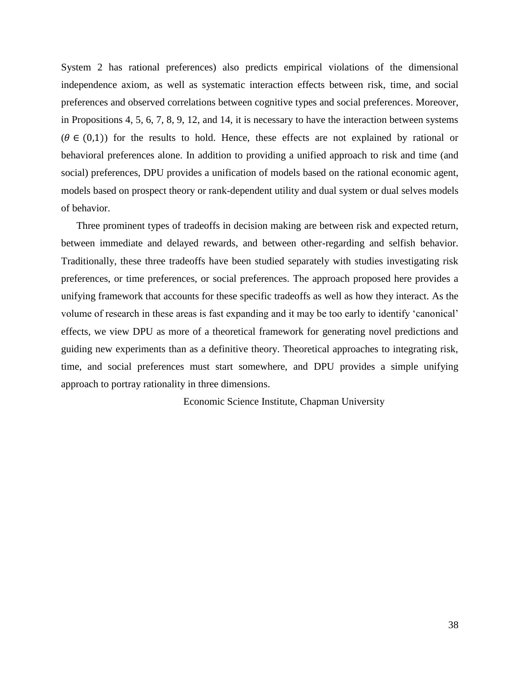System 2 has rational preferences) also predicts empirical violations of the dimensional independence axiom, as well as systematic interaction effects between risk, time, and social preferences and observed correlations between cognitive types and social preferences. Moreover, in Propositions 4, 5, 6, 7, 8, 9, 12, and 14, it is necessary to have the interaction between systems  $(\theta \in (0,1))$  for the results to hold. Hence, these effects are not explained by rational or behavioral preferences alone. In addition to providing a unified approach to risk and time (and social) preferences, DPU provides a unification of models based on the rational economic agent, models based on prospect theory or rank-dependent utility and dual system or dual selves models of behavior.

Three prominent types of tradeoffs in decision making are between risk and expected return, between immediate and delayed rewards, and between other-regarding and selfish behavior. Traditionally, these three tradeoffs have been studied separately with studies investigating risk preferences, or time preferences, or social preferences. The approach proposed here provides a unifying framework that accounts for these specific tradeoffs as well as how they interact. As the volume of research in these areas is fast expanding and it may be too early to identify 'canonical' effects, we view DPU as more of a theoretical framework for generating novel predictions and guiding new experiments than as a definitive theory. Theoretical approaches to integrating risk, time, and social preferences must start somewhere, and DPU provides a simple unifying approach to portray rationality in three dimensions.

Economic Science Institute, Chapman University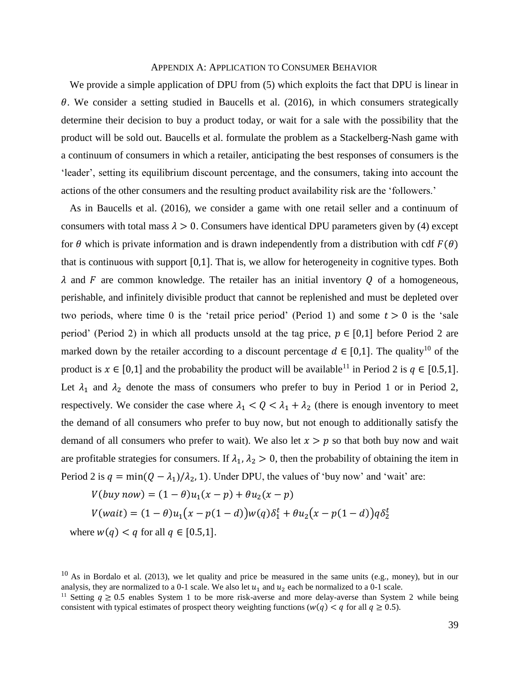#### APPENDIX A: APPLICATION TO CONSUMER BEHAVIOR

We provide a simple application of DPU from  $(5)$  which exploits the fact that DPU is linear in  $\theta$ . We consider a setting studied in Baucells et al. (2016), in which consumers strategically determine their decision to buy a product today, or wait for a sale with the possibility that the product will be sold out. Baucells et al. formulate the problem as a Stackelberg-Nash game with a continuum of consumers in which a retailer, anticipating the best responses of consumers is the 'leader', setting its equilibrium discount percentage, and the consumers, taking into account the actions of the other consumers and the resulting product availability risk are the 'followers.'

As in Baucells et al. (2016), we consider a game with one retail seller and a continuum of consumers with total mass  $\lambda > 0$ . Consumers have identical DPU parameters given by (4) except for  $\theta$  which is private information and is drawn independently from a distribution with cdf  $F(\theta)$ that is continuous with support [0,1]. That is, we allow for heterogeneity in cognitive types. Both  $\lambda$  and F are common knowledge. The retailer has an initial inventory Q of a homogeneous, perishable, and infinitely divisible product that cannot be replenished and must be depleted over two periods, where time 0 is the 'retail price period' (Period 1) and some  $t > 0$  is the 'sale period' (Period 2) in which all products unsold at the tag price,  $p \in [0,1]$  before Period 2 are marked down by the retailer according to a discount percentage  $d \in [0,1]$ . The quality<sup>10</sup> of the product is  $x \in [0,1]$  and the probability the product will be available<sup>11</sup> in Period 2 is  $q \in [0.5,1]$ . Let  $\lambda_1$  and  $\lambda_2$  denote the mass of consumers who prefer to buy in Period 1 or in Period 2, respectively. We consider the case where  $\lambda_1 < Q < \lambda_1 + \lambda_2$  (there is enough inventory to meet the demand of all consumers who prefer to buy now, but not enough to additionally satisfy the demand of all consumers who prefer to wait). We also let  $x > p$  so that both buy now and wait are profitable strategies for consumers. If  $\lambda_1$ ,  $\lambda_2 > 0$ , then the probability of obtaining the item in Period 2 is  $q = min(Q - \lambda_1)/\lambda_2$ , 1). Under DPU, the values of 'buy now' and 'wait' are:

$$
V(buy\ now) = (1 - \theta)u_1(x - p) + \theta u_2(x - p)
$$
  

$$
V(wait) = (1 - \theta)u_1(x - p(1 - d))w(q)\delta_1^t + \theta u_2(x - p(1 - d))q\delta_2^t
$$
  
where  $w(q) < q$  for all  $q \in [0.5, 1]$ .

 $10$  As in Bordalo et al. (2013), we let quality and price be measured in the same units (e.g., money), but in our analysis, they are normalized to a 0-1 scale. We also let  $u_1$  and  $u_2$  each be normalized to a 0-1 scale.

<sup>&</sup>lt;sup>11</sup> Setting  $q \ge 0.5$  enables System 1 to be more risk-averse and more delay-averse than System 2 while being consistent with typical estimates of prospect theory weighting functions ( $w(q) < q$  for all  $q \ge 0.5$ ).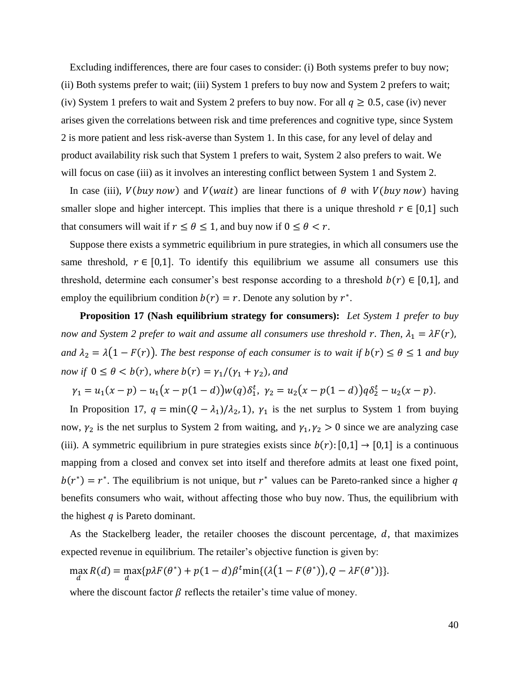Excluding indifferences, there are four cases to consider: (i) Both systems prefer to buy now; (ii) Both systems prefer to wait; (iii) System 1 prefers to buy now and System 2 prefers to wait; (iv) System 1 prefers to wait and System 2 prefers to buy now. For all  $q \ge 0.5$ , case (iv) never arises given the correlations between risk and time preferences and cognitive type, since System 2 is more patient and less risk-averse than System 1. In this case, for any level of delay and product availability risk such that System 1 prefers to wait, System 2 also prefers to wait. We will focus on case (iii) as it involves an interesting conflict between System 1 and System 2.

In case (iii),  $V(buy now)$  and  $V(wait)$  are linear functions of  $\theta$  with  $V(buy now)$  having smaller slope and higher intercept. This implies that there is a unique threshold  $r \in [0,1]$  such that consumers will wait if  $r \le \theta \le 1$ , and buy now if  $0 \le \theta < r$ .

Suppose there exists a symmetric equilibrium in pure strategies, in which all consumers use the same threshold,  $r \in [0,1]$ . To identify this equilibrium we assume all consumers use this threshold, determine each consumer's best response according to a threshold  $b(r) \in [0,1]$ , and employ the equilibrium condition  $b(r) = r$ . Denote any solution by  $r^*$ .

 **Proposition 17 (Nash equilibrium strategy for consumers):** *Let System 1 prefer to buy now and System 2 prefer to wait and assume all consumers use threshold r. Then,*  $\lambda_1 = \lambda F(r)$ , *and*  $\lambda_2 = \lambda(1 - F(r))$ . *The best response of each consumer is to wait if*  $b(r) \le \theta \le 1$  *and buy now if*  $0 \le \theta < b(r)$ *, where*  $b(r) = \gamma_1/(\gamma_1 + \gamma_2)$ *, and* 

 $\gamma_1 = u_1(x - p) - u_1(x - p(1 - d))w(q)\delta_1^t$ ,  $\gamma_2 = u_2(x - p(1 - d))q\delta_2^t - u_2(x - p)$ .

In Proposition 17,  $q = min(Q - \lambda_1)/\lambda_2$ , 1),  $\gamma_1$  is the net surplus to System 1 from buying now,  $\gamma_2$  is the net surplus to System 2 from waiting, and  $\gamma_1$ ,  $\gamma_2 > 0$  since we are analyzing case (iii). A symmetric equilibrium in pure strategies exists since  $b(r):[0,1] \rightarrow [0,1]$  is a continuous mapping from a closed and convex set into itself and therefore admits at least one fixed point,  $b(r^*) = r^*$ . The equilibrium is not unique, but  $r^*$  values can be Pareto-ranked since a higher q benefits consumers who wait, without affecting those who buy now. Thus, the equilibrium with the highest  $q$  is Pareto dominant.

As the Stackelberg leader, the retailer chooses the discount percentage,  $d$ , that maximizes expected revenue in equilibrium. The retailer's objective function is given by:

$$
\max_{d} R(d) = \max_{d} \{ p \lambda F(\theta^*) + p(1-d) \beta^t \min \{ (\lambda (1-F(\theta^*)), Q - \lambda F(\theta^*) \} \}.
$$

where the discount factor  $\beta$  reflects the retailer's time value of money.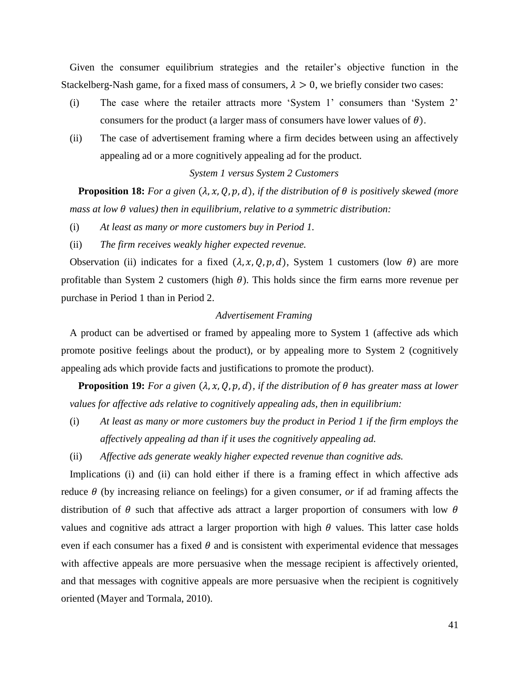Given the consumer equilibrium strategies and the retailer's objective function in the Stackelberg-Nash game, for a fixed mass of consumers,  $\lambda > 0$ , we briefly consider two cases:

- (i) The case where the retailer attracts more 'System 1' consumers than 'System 2' consumers for the product (a larger mass of consumers have lower values of  $\theta$ ).
- (ii) The case of advertisement framing where a firm decides between using an affectively appealing ad or a more cognitively appealing ad for the product.

# *System 1 versus System 2 Customers*

**Proposition 18:** For a given  $(\lambda, x, Q, p, d)$ , if the distribution of  $\theta$  is positively skewed (more *mass at low*  $\theta$  *values) then in equilibrium, relative to a symmetric distribution:* 

- (i) *At least as many or more customers buy in Period 1.*
- (ii) *The firm receives weakly higher expected revenue.*

Observation (ii) indicates for a fixed  $(\lambda, x, Q, p, d)$ , System 1 customers (low  $\theta$ ) are more profitable than System 2 customers (high  $\theta$ ). This holds since the firm earns more revenue per purchase in Period 1 than in Period 2.

# *Advertisement Framing*

A product can be advertised or framed by appealing more to System 1 (affective ads which promote positive feelings about the product), or by appealing more to System 2 (cognitively appealing ads which provide facts and justifications to promote the product).

**Proposition 19:** For a given  $(\lambda, x, Q, p, d)$ , if the distribution of  $\theta$  has greater mass at lower *values for affective ads relative to cognitively appealing ads, then in equilibrium:* 

- (i) *At least as many or more customers buy the product in Period 1 if the firm employs the affectively appealing ad than if it uses the cognitively appealing ad.*
- (ii) *Affective ads generate weakly higher expected revenue than cognitive ads.*

Implications (i) and (ii) can hold either if there is a framing effect in which affective ads reduce  $\theta$  (by increasing reliance on feelings) for a given consumer, *or* if ad framing affects the distribution of  $\theta$  such that affective ads attract a larger proportion of consumers with low  $\theta$ values and cognitive ads attract a larger proportion with high  $\theta$  values. This latter case holds even if each consumer has a fixed  $\theta$  and is consistent with experimental evidence that messages with affective appeals are more persuasive when the message recipient is affectively oriented, and that messages with cognitive appeals are more persuasive when the recipient is cognitively oriented (Mayer and Tormala, 2010).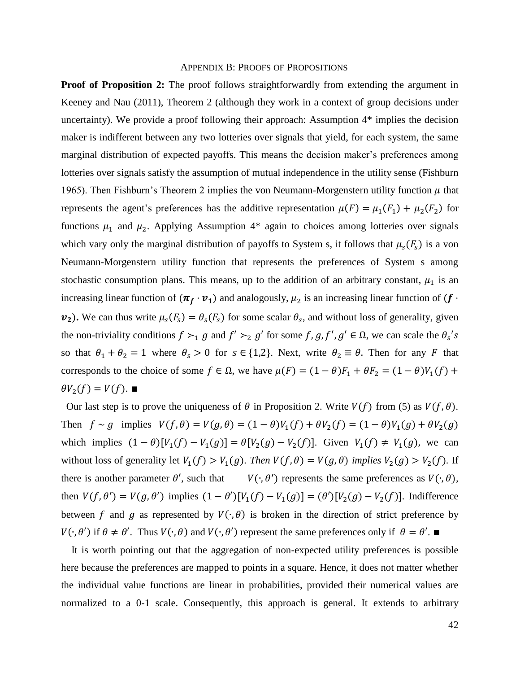#### APPENDIX B: PROOFS OF PROPOSITIONS

**Proof of Proposition 2:** The proof follows straightforwardly from extending the argument in Keeney and Nau (2011), Theorem 2 (although they work in a context of group decisions under uncertainty). We provide a proof following their approach: Assumption 4\* implies the decision maker is indifferent between any two lotteries over signals that yield, for each system, the same marginal distribution of expected payoffs. This means the decision maker's preferences among lotteries over signals satisfy the assumption of mutual independence in the utility sense (Fishburn 1965). Then Fishburn's Theorem 2 implies the von Neumann-Morgenstern utility function  $\mu$  that represents the agent's preferences has the additive representation  $\mu(F) = \mu_1(F_1) + \mu_2(F_2)$  for functions  $\mu_1$  and  $\mu_2$ . Applying Assumption 4\* again to choices among lotteries over signals which vary only the marginal distribution of payoffs to System s, it follows that  $\mu_s(F_s)$  is a von Neumann-Morgenstern utility function that represents the preferences of System s among stochastic consumption plans. This means, up to the addition of an arbitrary constant,  $\mu_1$  is an increasing linear function of  $(\bm{\pi}_f\cdot\bm{v}_1)$  and analogously,  $\mu_2$  is an increasing linear function of  $(f\cdot$  $v_2$ ). We can thus write  $\mu_s(F_s) = \theta_s(F_s)$  for some scalar  $\theta_s$ , and without loss of generality, given the non-triviality conditions  $f \succ_1 g$  and  $f' \succ_2 g'$  for some f, g, f', g'  $\in \Omega$ , we can scale the  $\theta_s$ 's so that  $\theta_1 + \theta_2 = 1$  where  $\theta_s > 0$  for  $s \in \{1,2\}$ . Next, write  $\theta_2 \equiv \theta$ . Then for any *F* that corresponds to the choice of some  $f \in \Omega$ , we have  $\mu(F) = (1 - \theta)F_1 + \theta F_2 = (1 - \theta)V_1(f) +$  $\theta V_2(f) = V(f)$ . ■

Our last step is to prove the uniqueness of  $\theta$  in Proposition 2. Write  $V(f)$  from (5) as  $V(f, \theta)$ . Then  $f \sim g$  implies  $V(f, \theta) = V(g, \theta) = (1 - \theta)V_1(f) + \theta V_2(f) = (1 - \theta)V_1(g) + \theta V_2(g)$ which implies  $(1 - \theta)[V_1(f) - V_1(g)] = \theta[V_2(g) - V_2(f)]$ . Given  $V_1(f) \neq V_1(g)$ , we can without loss of generality let  $V_1(f) > V_1(g)$ . Then  $V(f, \theta) = V(g, \theta)$  implies  $V_2(g) > V_2(f)$ . If there is another parameter  $\theta'$ , such that  $\prime$ ) represents the same preferences as  $V(\cdot, \theta)$ , then  $V(f, \theta') = V(g, \theta')$  implies  $(1 - \theta')[V_1(f) - V_1(g)] = (\theta')[V_2(g) - V_2(f)]$ . Indifference between f and g as represented by  $V(\cdot,\theta)$  is broken in the direction of strict preference by  $V(\cdot, \theta')$  if  $\theta \neq \theta'$ . Thus  $V(\cdot, \theta)$  and  $V(\cdot, \theta')$  represent the same preferences only if  $\theta = \theta'$ .

 It is worth pointing out that the aggregation of non-expected utility preferences is possible here because the preferences are mapped to points in a square. Hence, it does not matter whether the individual value functions are linear in probabilities, provided their numerical values are normalized to a 0-1 scale. Consequently, this approach is general. It extends to arbitrary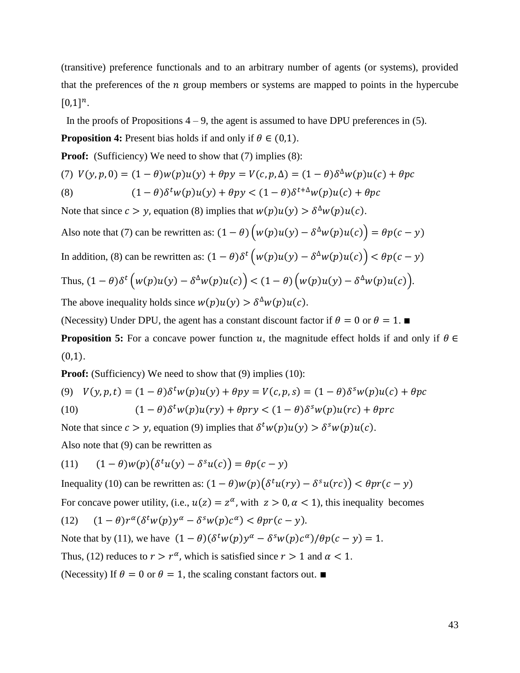(transitive) preference functionals and to an arbitrary number of agents (or systems), provided that the preferences of the  $n$  group members or systems are mapped to points in the hypercube  $[0,1]^n$ .

In the proofs of Propositions  $4 - 9$ , the agent is assumed to have DPU preferences in (5).

**Proposition 4:** Present bias holds if and only if  $\theta \in (0,1)$ .

**Proof:** (Sufficiency) We need to show that (7) implies (8):

(7) 
$$
V(y, p, 0) = (1 - \theta)w(p)u(y) + \theta py = V(c, p, \Delta) = (1 - \theta)\delta^{\Delta}w(p)u(c) + \theta pc
$$
  
(8) 
$$
(1 - \theta)\delta^{\Delta}w(p)u(y) + \theta py < (1 - \theta)\delta^{\Delta}w(p)u(c) + \theta pc
$$

Note that since  $c > y$ , equation (8) implies that  $w(p)u(y) > \delta^{\Delta}w(p)u(c)$ .

Also note that (7) can be rewritten as:  $(1 - \theta) (w(p)u(y) - \delta^{\Delta}w(p)u(c)) = \theta p(c - y)$ In addition, (8) can be rewritten as:  $(1 - \theta)\delta^t (w(p)u(y) - \delta^{\Delta}w(p)u(c)) < \theta p(c - y)$ Thus,  $(1 - \theta)\delta^t (w(p)u(y) - \delta^{\Delta}w(p)u(c)) < (1 - \theta)(w(p)u(y) - \delta^{\Delta}w(p)u(c)).$ The above inequality holds since  $w(p)u(y) > \delta^{\Delta}w(p)u(c)$ .

(Necessity) Under DPU, the agent has a constant discount factor if  $\theta = 0$  or  $\theta = 1$ .

**Proposition 5:** For a concave power function u, the magnitude effect holds if and only if  $\theta \in$  $(0,1)$ .

**Proof:** (Sufficiency) We need to show that (9) implies (10):

(9) 
$$
V(y, p, t) = (1 - \theta)\delta^t w(p)u(y) + \theta py = V(c, p, s) = (1 - \theta)\delta^s w(p)u(c) + \theta pc
$$
  
(10) 
$$
(1 - \theta)\delta^t w(p)u(ry) + \theta pry < (1 - \theta)\delta^s w(p)u(rc) + \theta prc
$$

Note that since  $c > y$ , equation (9) implies that  $\delta^t w(p) u(y) > \delta^s w(p) u(c)$ .

Also note that (9) can be rewritten as

(11) 
$$
(1 - \theta)w(p)(\delta^t u(y) - \delta^s u(c)) = \theta p(c - y)
$$

Inequality (10) can be rewritten as:  $(1 - \theta)w(p)(\delta^t u(ry) - \delta^s u(rc)) < \theta pr(c - y)$ 

For concave power utility, (i.e.,  $u(z) = z^{\alpha}$ , with  $z > 0$ ,  $\alpha < 1$ ), this inequality becomes

(12) 
$$
(1 - \theta)r^{\alpha}(\delta^tw(p)y^{\alpha} - \delta^sw(p)c^{\alpha}) < \theta pr(c - y).
$$

Note that by (11), we have  $(1 - \theta)(\delta^t w(p) y^\alpha - \delta^s w(p) c^\alpha)/\theta p(c - y) = 1$ .

Thus, (12) reduces to  $r > r^{\alpha}$ , which is satisfied since  $r > 1$  and  $\alpha < 1$ .

(Necessity) If  $\theta = 0$  or  $\theta = 1$ , the scaling constant factors out. ■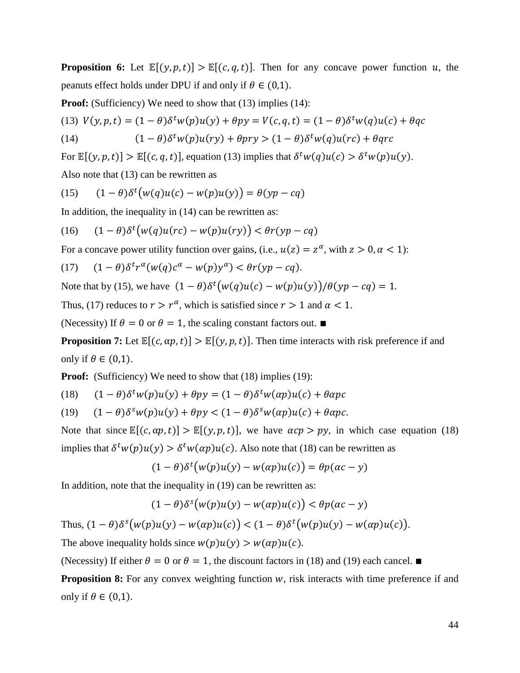**Proposition 6:** Let  $\mathbb{E}[(y, p, t)] > \mathbb{E}[(c, q, t)]$ . Then for any concave power function u, the peanuts effect holds under DPU if and only if  $\theta \in (0,1)$ .

**Proof:** (Sufficiency) We need to show that (13) implies (14):

(13) 
$$
V(y, p, t) = (1 - \theta)\delta^t w(p)u(y) + \theta py = V(c, q, t) = (1 - \theta)\delta^t w(q)u(c) + \theta qc
$$

(14) 
$$
(1 - \theta)\delta^t w(p)u(ry) + \theta pry > (1 - \theta)\delta^t w(q)u(rc) + \theta qrc
$$

For  $\mathbb{E}[(y, p, t)] > \mathbb{E}[(c, q, t)]$ , equation (13) implies that  $\delta^t w(q)u(c) > \delta^t w(p)u(y)$ .

Also note that (13) can be rewritten as

(15) 
$$
(1 - \theta)\delta^{t}(w(q)u(c) - w(p)u(y)) = \theta(yp - cq)
$$

In addition, the inequality in  $(14)$  can be rewritten as:

$$
(16)\qquad (1-\theta)\delta^t \big(w(q)u(rc) - w(p)u(ry)\big) < \theta r(p - cq)
$$

For a concave power utility function over gains, (i.e.,  $u(z) = z^{\alpha}$ , with  $z > 0, \alpha < 1$ ):

$$
(17) \quad (1-\theta)\delta^tr^{\alpha}(w(q)c^{\alpha}-w(p)y^{\alpha})<\theta r (yp-cq).
$$

Note that by (15), we have  $(1 - \theta)\delta^t(w(q)u(c) - w(p)u(y)) / \theta(yp - cq) = 1$ .

Thus, (17) reduces to  $r > r^{\alpha}$ , which is satisfied since  $r > 1$  and  $\alpha < 1$ .

(Necessity) If  $\theta = 0$  or  $\theta = 1$ , the scaling constant factors out. ■

**Proposition 7:** Let  $\mathbb{E}[(c, \alpha p, t)] > \mathbb{E}[(y, p, t)]$ . Then time interacts with risk preference if and only if  $\theta \in (0,1)$ .

**Proof:** (Sufficiency) We need to show that (18) implies (19):

(18) 
$$
(1 - \theta)\delta^t w(p)u(y) + \theta py = (1 - \theta)\delta^t w(\alpha p)u(c) + \theta \alpha pc
$$

(19) 
$$
(1 - \theta)\delta^s w(p)u(y) + \theta py < (1 - \theta)\delta^s w(\alpha p)u(c) + \theta \alpha pc.
$$

Note that since  $\mathbb{E}[(c, \alpha p, t)] > \mathbb{E}[(y, p, t)]$ , we have  $\alpha cp > py$ , in which case equation (18) implies that  $\delta^t w(p) u(y) > \delta^t w(\alpha p) u(c)$ . Also note that (18) can be rewritten as

$$
(1 - \theta)\delta^{t}(w(p)u(y) - w(\alpha p)u(c)) = \theta p(\alpha c - y)
$$

In addition, note that the inequality in (19) can be rewritten as:

$$
(1-\theta)\delta^{s}(w(p)u(y) - w(\alpha p)u(c)) < \theta p(\alpha c - y)
$$

Thus,  $(1 - \theta)\delta^{s}(w(p)u(y) - w(\alpha p)u(c)) < (1 - \theta)\delta^{t}(w(p)u(y) - w(\alpha p)u(c)).$ 

The above inequality holds since  $w(p)u(y) > w(\alpha p)u(c)$ .

(Necessity) If either  $\theta = 0$  or  $\theta = 1$ , the discount factors in (18) and (19) each cancel. ■

**Proposition 8:** For any convex weighting function w, risk interacts with time preference if and only if  $\theta \in (0,1)$ .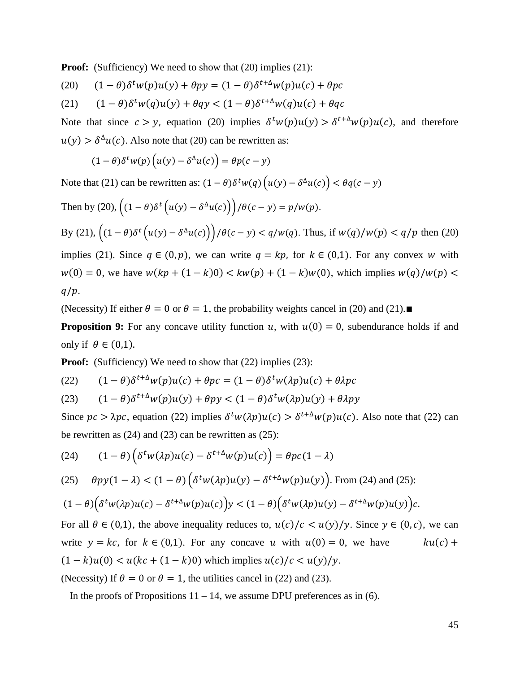**Proof:** (Sufficiency) We need to show that (20) implies (21):

(20) 
$$
(1 - \theta)\delta^t w(p)u(y) + \theta py = (1 - \theta)\delta^{t+\Delta}w(p)u(c) + \theta pc
$$

(21) 
$$
(1 - \theta)\delta^t w(q)u(y) + \theta q y < (1 - \theta)\delta^{t+\Delta}w(q)u(c) + \theta qc
$$

Note that since  $c > y$ , equation (20) implies  $\delta^t w(p) u(y) > \delta^{t+\Delta} w(p) u(c)$ , and therefore  $u(y) > \delta^{\Delta}u(c)$ . Also note that (20) can be rewritten as:

$$
(1 - \theta)\delta^t w(p) \left( u(y) - \delta^{\Delta} u(c) \right) = \theta p(c - y)
$$

Note that (21) can be rewritten as:  $(1 - \theta)\delta^t w(q) (u(y) - \delta^{\Delta}u(c)) < \theta q(c - y)$ 

Then by (20), 
$$
\left((1 - \theta)\delta^t \left(u(y) - \delta^{\Delta}u(c)\right)\right)/\theta(c - y) = p/w(p).
$$
 By (21),  $\left((1 - \theta)\delta^t \left(u(y) - \delta^{\Delta}u(c)\right)\right)/\theta(c - y) < q/w(q).$  Thus, if  $w(q)/w(p) < q/p$  then (20) implies (21). Since  $q \in (0, p)$ , we can write  $q = kp$ , for  $k \in (0, 1)$ . For any convex  $w$  with  $w(0) = 0$ , we have  $w(kp + (1 - k)0) < kw(p) + (1 - k)w(0)$ , which implies  $w(q)/w(p) < q/p$ .

(Necessity) If either  $\theta = 0$  or  $\theta = 1$ , the probability weights cancel in (20) and (21).■

**Proposition 9:** For any concave utility function u, with  $u(0) = 0$ , subendurance holds if and only if  $\theta \in (0,1)$ .

**Proof:** (Sufficiency) We need to show that (22) implies (23):

(22) 
$$
(1 - \theta)\delta^{t + \Delta}w(p)u(c) + \theta pc = (1 - \theta)\delta^t w(\lambda p)u(c) + \theta\lambda pc
$$

(23) 
$$
(1 - \theta)\delta^{t+\Delta}w(p)u(y) + \theta py < (1 - \theta)\delta^t w(\lambda p)u(y) + \theta \lambda py
$$

Since  $pc > \lambda pc$ , equation (22) implies  $\delta^t w(\lambda p) u(c) > \delta^{t+\Delta} w(p) u(c)$ . Also note that (22) can be rewritten as  $(24)$  and  $(23)$  can be rewritten as  $(25)$ :

(24) 
$$
(1 - \theta) \left( \delta^t w(\lambda p) u(c) - \delta^{t+\Delta} w(p) u(c) \right) = \theta p c (1 - \lambda)
$$

(25) 
$$
\theta py(1-\lambda) < (1-\theta)\left(\delta^t w(\lambda p)u(y) - \delta^{t+\Delta}w(p)u(y)\right)
$$
. From (24) and (25):

$$
(1-\theta)\Big(\delta^t w(\lambda p)u(c)-\delta^{t+\Delta}w(p)u(c)\Big)y<(1-\theta)\Big(\delta^t w(\lambda p)u(y)-\delta^{t+\Delta}w(p)u(y)\Big)c.
$$

For all  $\theta \in (0,1)$ , the above inequality reduces to,  $u(c)/c < u(y)/y$ . Since  $y \in (0, c)$ , we can write  $y = kc$ , for  $k \in (0,1)$ . For any concave u with  $u(0) = 0$ , we have  $ku(c) +$  $(1 - k)u(0) < u(kc + (1 - k)0)$  which implies  $u(c)/c < u(y)/y$ .

(Necessity) If  $\theta = 0$  or  $\theta = 1$ , the utilities cancel in (22) and (23).

In the proofs of Propositions  $11 - 14$ , we assume DPU preferences as in (6).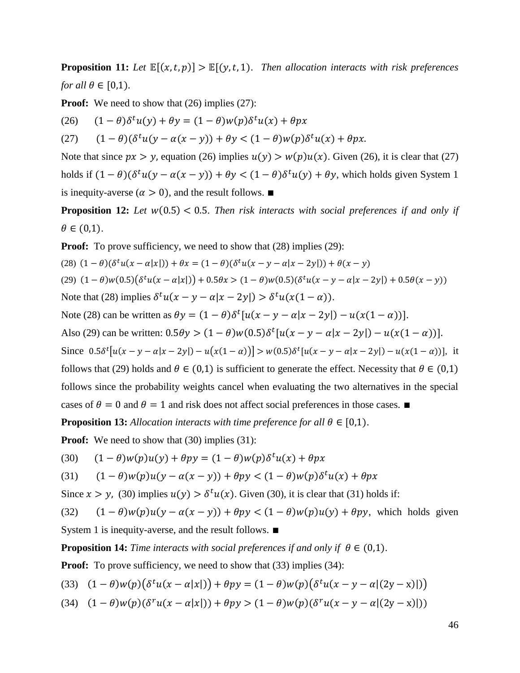**Proposition 11:** Let  $\mathbb{E}[(x, t, p)] > \mathbb{E}[(y, t, 1)]$ . Then allocation interacts with risk preferences *for all*  $\theta \in [0,1)$ *.* 

**Proof:** We need to show that (26) implies (27):

(26)  $(1 - \theta)\delta^t u(y) + \theta y = (1 - \theta)w(p)\delta^t u(x) + \theta px$ 

(27)  $(1 - \theta)(\delta^t u (y - \alpha(x - y)) + \theta y < (1 - \theta) w(p) \delta^t u (x) + \theta px$ .

Note that since  $px > y$ , equation (26) implies  $u(y) > w(p)u(x)$ . Given (26), it is clear that (27) holds if  $(1 - \theta)(\delta^t u(y - \alpha(x - y)) + \theta y < (1 - \theta)\delta^t u(y) + \theta y$ , which holds given System 1 is inequity-averse ( $\alpha > 0$ ), and the result follows. ■

**Proposition 12:** Let  $w(0.5) < 0.5$ . Then risk interacts with social preferences if and only if  $\theta \in (0,1)$ .

**Proof:** To prove sufficiency, we need to show that  $(28)$  implies  $(29)$ :

(28)  $(1 - \theta)(\delta^t u(x - \alpha |x|)) + \theta x = (1 - \theta)(\delta^t u(x - y - \alpha |x - 2y|)) + \theta(x - y)$ (29)  $(1 - \theta)w(0.5)(\delta^t u(x - \alpha |x|)) + 0.5\theta x > (1 - \theta)w(0.5)(\delta^t u(x - y - \alpha |x - 2y|) + 0.5\theta(x - y))$ Note that (28) implies  $\delta^t u(x - y - \alpha |x - 2y|) > \delta^t u(x(1 - \alpha))$ . Note (28) can be written as  $\theta y = (1 - \theta)\delta^t[u(x - y - \alpha|x - 2y]) - u(x(1 - \alpha))].$ Also (29) can be written:  $0.5\theta y > (1 - \theta)w(0.5)\delta^t[u(x - y - \alpha|x - 2y]) - u(x(1 - \alpha))].$ Since  $0.5\delta^t[u(x-y-\alpha|x-2y]) - u(x(1-\alpha))] > w(0.5)\delta^t[u(x-y-\alpha|x-2y]) - u(x(1-\alpha))]$ , it follows that (29) holds and  $\theta \in (0,1)$  is sufficient to generate the effect. Necessity that  $\theta \in (0,1)$ follows since the probability weights cancel when evaluating the two alternatives in the special cases of  $\theta = 0$  and  $\theta = 1$  and risk does not affect social preferences in those cases. ■ **Proposition 13:** *Allocation interacts with time preference for all*  $\theta \in [0,1)$ *.* 

**Proof:** We need to show that (30) implies (31):

(30) 
$$
(1 - \theta)w(p)u(y) + \theta py = (1 - \theta)w(p)\delta^t u(x) + \theta px
$$

(31) 
$$
(1 - \theta)w(p)u(y - \alpha(x - y)) + \theta py < (1 - \theta)w(p)\delta^t u(x) + \theta px
$$

Since  $x > y$ , (30) implies  $u(y) > \delta^t u(x)$ . Given (30), it is clear that (31) holds if:

(32)  $(1 - \theta)w(p)u(y - \alpha(x - y)) + \theta py < (1 - \theta)w(p)u(y) + \theta py$ , which holds given

System 1 is inequity-averse, and the result follows. ∎

**Proposition 14:** *Time interacts with social preferences if and only if*  $\theta \in (0,1)$ *.* 

**Proof:** To prove sufficiency, we need to show that (33) implies (34):

(33) 
$$
(1 - \theta)w(p)(\delta^t u(x - \alpha |x|)) + \theta py = (1 - \theta)w(p)(\delta^t u(x - y - \alpha |(2y - x)|))
$$

(34)  $(1 - \theta)w(p)(\delta^{r}u(x - \alpha|x|)) + \theta py > (1 - \theta)w(p)(\delta^{r}u(x - y - \alpha|(2y - x)|))$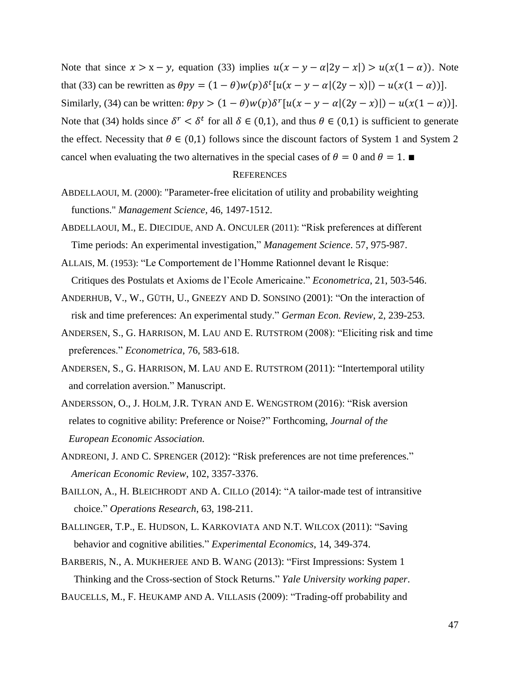Note that since  $x > x - y$ , equation (33) implies  $u(x - y - \alpha |2y - x|) > u(x(1 - \alpha))$ . Note that (33) can be rewritten as  $\theta py = (1 - \theta)w(p)\delta^t[u(x - y - \alpha](2y - x)]) - u(x(1 - \alpha))$ . Similarly, (34) can be written:  $\theta py > (1 - \theta)w(p)\delta^{r}[u(x - y - \alpha](2y - x))] - u(x(1 - \alpha))$ . Note that (34) holds since  $\delta^r < \delta^t$  for all  $\delta \in (0,1)$ , and thus  $\theta \in (0,1)$  is sufficient to generate the effect. Necessity that  $\theta \in (0,1)$  follows since the discount factors of System 1 and System 2 cancel when evaluating the two alternatives in the special cases of  $\theta = 0$  and  $\theta = 1$ .

### **REFERENCES**

- ABDELLAOUI, M. (2000): "Parameter-free elicitation of utility and probability weighting functions." *Management Science,* 46, 1497-1512.
- ABDELLAOUI, M., E. DIECIDUE, AND A. ONCULER (2011): "Risk preferences at different Time periods: An experimental investigation," *Management Science*. 57, 975-987.
- ALLAIS, M. (1953): "Le Comportement de l'Homme Rationnel devant le Risque: Critiques des Postulats et Axioms de l'Ecole Americaine." *Econometrica*, 21, 503-546.
- ANDERHUB, V., W., GÜTH, U., GNEEZY AND D. SONSINO (2001): "On the interaction of risk and time preferences: An experimental study." *German Econ. Review*, 2, 239-253.
- ANDERSEN, S., G. HARRISON, M. LAU AND E. RUTSTROM (2008): "Eliciting risk and time preferences." *Econometrica*, 76, 583-618.
- ANDERSEN, S., G. HARRISON, M. LAU AND E. RUTSTROM (2011): "Intertemporal utility and correlation aversion." Manuscript.
- ANDERSSON, O., J. HOLM, J.R. TYRAN AND E. WENGSTROM (2016): "Risk aversion relates to cognitive ability: Preference or Noise?" Forthcoming, *Journal of the European Economic Association.*
- ANDREONI, J. AND C. SPRENGER (2012): "Risk preferences are not time preferences."  *American Economic Review*, 102, 3357-3376.
- BAILLON, A., H. BLEICHRODT AND A. CILLO (2014): "A tailor-made test of intransitive choice." *Operations Research*, 63, 198-211.
- BALLINGER, T.P., E. HUDSON, L. KARKOVIATA AND N.T. WILCOX (2011): "Saving behavior and cognitive abilities." *Experimental Economics*, 14, 349-374.
- BARBERIS, N., A. MUKHERJEE AND B. WANG (2013): "First Impressions: System 1 Thinking and the Cross-section of Stock Returns." *Yale University working paper*.

BAUCELLS, M., F. HEUKAMP AND A. VILLASIS (2009): "Trading-off probability and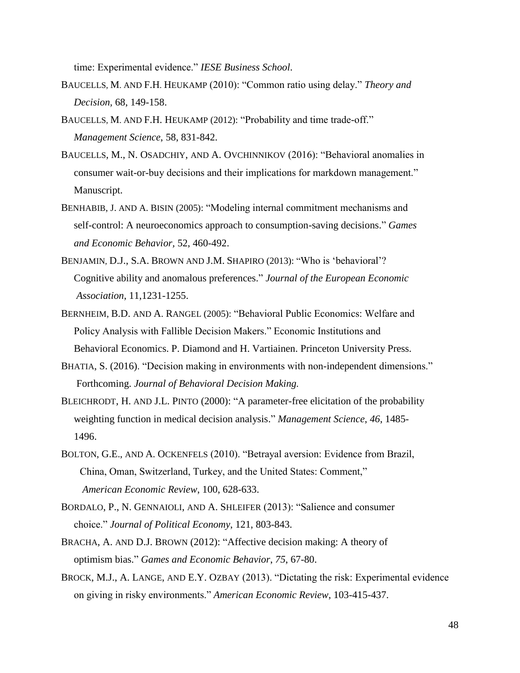time: Experimental evidence." *IESE Business School*.

- BAUCELLS, M. AND F.H. HEUKAMP (2010): "Common ratio using delay." *Theory and Decision,* 68, 149-158.
- BAUCELLS, M. AND F.H. HEUKAMP (2012): "Probability and time trade-off." *Management Science*, 58, 831-842.
- BAUCELLS, M., N. OSADCHIY, AND A. OVCHINNIKOV (2016): "Behavioral anomalies in consumer wait-or-buy decisions and their implications for markdown management." Manuscript.
- BENHABIB, J. AND A. BISIN (2005): "Modeling internal commitment mechanisms and self-control: A neuroeconomics approach to consumption-saving decisions." *Games and Economic Behavior,* 52, 460-492.
- BENJAMIN, D.J., S.A. BROWN AND J.M. SHAPIRO (2013): "Who is 'behavioral'? Cognitive ability and anomalous preferences." *Journal of the European Economic Association*, 11,1231-1255.
- BERNHEIM, B.D. AND A. RANGEL (2005): "Behavioral Public Economics: Welfare and Policy Analysis with Fallible Decision Makers." Economic Institutions and Behavioral Economics. P. Diamond and H. Vartiainen. Princeton University Press.
- BHATIA, S. (2016). "Decision making in environments with non-independent dimensions." Forthcoming. *Journal of Behavioral Decision Making.*
- BLEICHRODT, H. AND J.L. PINTO (2000): "A parameter-free elicitation of the probability weighting function in medical decision analysis." *Management Science*, *46*, 1485- 1496.
- BOLTON, G.E., AND A. OCKENFELS (2010). "Betrayal aversion: Evidence from Brazil, China, Oman, Switzerland, Turkey, and the United States: Comment," *American Economic Review*, 100, 628-633.
- BORDALO, P., N. GENNAIOLI, AND A. SHLEIFER (2013): "Salience and consumer choice." *Journal of Political Economy*, 121, 803-843.
- BRACHA, A. AND D.J. BROWN (2012): "Affective decision making: A theory of optimism bias." *Games and Economic Behavior*, *75*, 67-80.
- BROCK, M.J., A. LANGE, AND E.Y. OZBAY (2013). "Dictating the risk: Experimental evidence on giving in risky environments." *American Economic Review*, 103-415-437.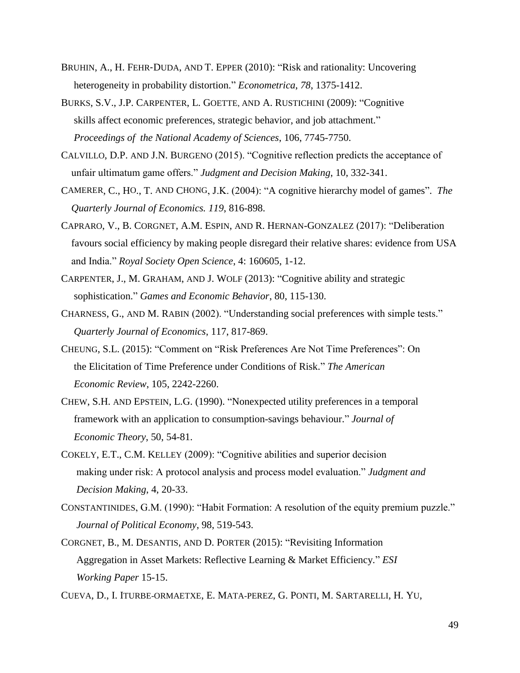- BRUHIN, A., H. FEHR‐DUDA, AND T. EPPER (2010): "Risk and rationality: Uncovering heterogeneity in probability distortion." *Econometrica*, *78*, 1375-1412.
- BURKS, S.V., J.P. CARPENTER, L. GOETTE, AND A. RUSTICHINI (2009): "Cognitive skills affect economic preferences, strategic behavior, and job attachment." *Proceedings of the National Academy of Sciences*, 106, 7745-7750.
- CALVILLO, D.P. AND J.N. BURGENO (2015). "Cognitive reflection predicts the acceptance of unfair ultimatum game offers." *Judgment and Decision Making*, 10, 332-341.
- CAMERER, C., HO., T. AND CHONG, J.K. (2004): "A cognitive hierarchy model of games". *The Quarterly Journal of Economics. 119*, 816-898.
- CAPRARO, V., B. CORGNET, A.M. ESPIN, AND R. HERNAN-GONZALEZ (2017): "Deliberation favours social efficiency by making people disregard their relative shares: evidence from USA and India." *Royal Society Open Science*, 4: 160605, 1-12.
- CARPENTER, J., M. GRAHAM, AND J. WOLF (2013): "Cognitive ability and strategic sophistication." *Games and Economic Behavior*, 80, 115-130.
- CHARNESS, G., AND M. RABIN (2002). "Understanding social preferences with simple tests." *Quarterly Journal of Economics*, 117, 817-869.
- CHEUNG, S.L. (2015): "Comment on "Risk Preferences Are Not Time Preferences": On the Elicitation of Time Preference under Conditions of Risk." *The American Economic Review*, 105, 2242-2260.
- CHEW, S.H. AND EPSTEIN, L.G. (1990). "Nonexpected utility preferences in a temporal framework with an application to consumption-savings behaviour." *Journal of Economic Theory*, 50, 54-81.
- COKELY, E.T., C.M. KELLEY (2009): "Cognitive abilities and superior decision making under risk: A protocol analysis and process model evaluation." *Judgment and Decision Making*, 4, 20-33.
- CONSTANTINIDES, G.M. (1990): "Habit Formation: A resolution of the equity premium puzzle." *Journal of Political Economy*, 98, 519-543.
- CORGNET, B., M. DESANTIS, AND D. PORTER (2015): "Revisiting Information Aggregation in Asset Markets: Reflective Learning & Market Efficiency." *ESI Working Paper* 15-15.

CUEVA, D., I. ITURBE-ORMAETXE, E. MATA-PEREZ, G. PONTI, M. SARTARELLI, H. YU,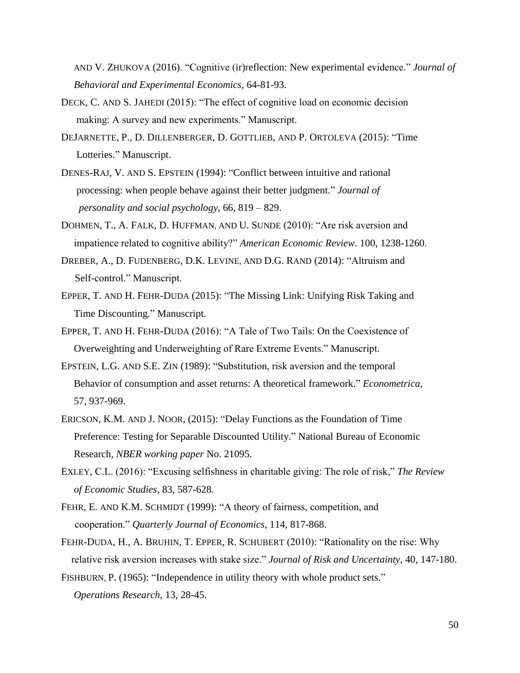AND V. ZHUKOVA (2016). "Cognitive (ir)reflection: New experimental evidence." *Journal of Behavioral and Experimental Economics,* 64-81-93.

- DECK, C. AND S. JAHEDI (2015): "The effect of cognitive load on economic decision making: A survey and new experiments." Manuscript.
- DEJARNETTE, P., D. DILLENBERGER, D. GOTTLIEB, AND P. ORTOLEVA (2015): "Time Lotteries." Manuscript.
- DENES-RAJ, V. AND S. EPSTEIN (1994): "Conflict between intuitive and rational processing: when people behave against their better judgment." *Journal of personality and social psychology*, 66, 819 – 829.
- DOHMEN, T., A. FALK, D. HUFFMAN, AND U. SUNDE (2010): "Are risk aversion and impatience related to cognitive ability?" *American Economic Review*. 100, 1238-1260.
- DREBER, A., D. FUDENBERG, D.K. LEVINE, AND D.G. RAND (2014): "Altruism and Self-control." Manuscript.
- EPPER, T. AND H. FEHR-DUDA (2015): "The Missing Link: Unifying Risk Taking and Time Discounting." Manuscript.
- EPPER, T. AND H. FEHR-DUDA (2016): "A Tale of Two Tails: On the Coexistence of Overweighting and Underweighting of Rare Extreme Events." Manuscript.
- EPSTEIN, L.G. AND S.E. ZIN (1989): "Substitution, risk aversion and the temporal Behavior of consumption and asset returns: A theoretical framework." *Econometrica,* 57, 937-969.
- ERICSON, K.M. AND J. NOOR, (2015): "Delay Functions as the Foundation of Time Preference: Testing for Separable Discounted Utility." National Bureau of Economic Research, *NBER working paper* No. 21095.
- EXLEY, C.L. (2016): "Excusing selfishness in charitable giving: The role of risk," *The Review of Economic Studies*, 83, 587-628.
- FEHR, E. AND K.M. SCHMIDT (1999): "A theory of fairness, competition, and cooperation." *Quarterly Journal of Economics*, 114, 817-868.
- FEHR-DUDA, H., A. BRUHIN, T. EPPER, R. SCHUBERT (2010): "Rationality on the rise: Why relative risk aversion increases with stake size." *Journal of Risk and Uncertainty*, 40, 147-180.

FISHBURN, P. (1965): "Independence in utility theory with whole product sets." *Operations Research*, 13, 28-45.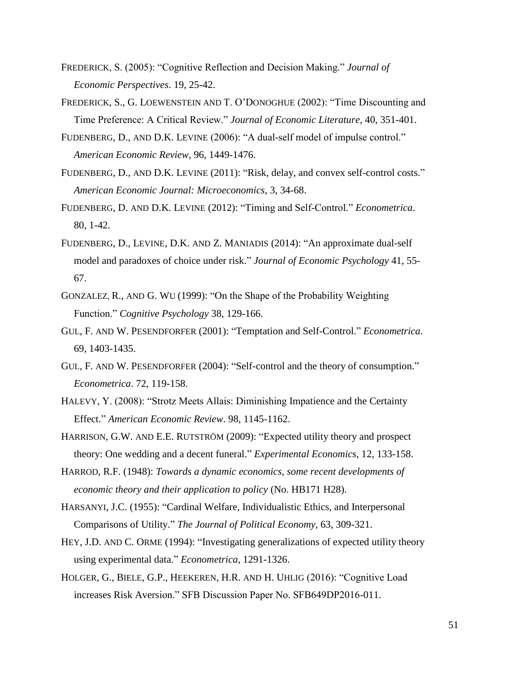- FREDERICK, S. (2005): "Cognitive Reflection and Decision Making." *Journal of Economic Perspectives*. 19, 25-42.
- FREDERICK, S., G. LOEWENSTEIN AND T. O'DONOGHUE (2002): "Time Discounting and Time Preference: A Critical Review." *Journal of Economic Literature,* 40, 351-401.
- FUDENBERG, D., AND D.K. LEVINE (2006): "A dual-self model of impulse control." *American Economic Review*, 96, 1449-1476.
- FUDENBERG, D., AND D.K. LEVINE (2011): "Risk, delay, and convex self-control costs." *American Economic Journal: Microeconomics*, 3, 34-68.
- FUDENBERG, D. AND D.K. LEVINE (2012): "Timing and Self-Control." *Econometrica*. 80, 1-42.
- FUDENBERG, D., LEVINE, D.K. AND Z. MANIADIS (2014): "An approximate dual-self model and paradoxes of choice under risk." *Journal of Economic Psychology* 41, 55- 67.
- GONZALEZ, R., AND G. WU (1999): "On the Shape of the Probability Weighting Function." *Cognitive Psychology* 38, 129-166.
- GUL, F. AND W. PESENDFORFER (2001): "Temptation and Self-Control." *Econometrica.* 69, 1403-1435.
- GUL, F. AND W. PESENDFORFER (2004): "Self-control and the theory of consumption." *Econometrica*. 72, 119-158.
- HALEVY, Y. (2008): "Strotz Meets Allais: Diminishing Impatience and the Certainty Effect." *American Economic Review*. 98, 1145-1162.
- HARRISON, G.W. AND E.E. RUTSTRÖM (2009): "Expected utility theory and prospect theory: One wedding and a decent funeral." *Experimental Economics*, 12, 133-158.
- HARROD, R.F. (1948): *Towards a dynamic economics, some recent developments of economic theory and their application to policy* (No. HB171 H28).
- HARSANYI, J.C. (1955): "Cardinal Welfare, Individualistic Ethics, and Interpersonal Comparisons of Utility." *The Journal of Political Economy*, 63, 309-321.
- HEY, J.D. AND C. ORME (1994): "Investigating generalizations of expected utility theory using experimental data." *Econometrica*, 1291-1326.
- HOLGER, G., BIELE, G.P., HEEKEREN, H.R. AND H. UHLIG (2016): "Cognitive Load increases Risk Aversion." SFB Discussion Paper No. SFB649DP2016-011.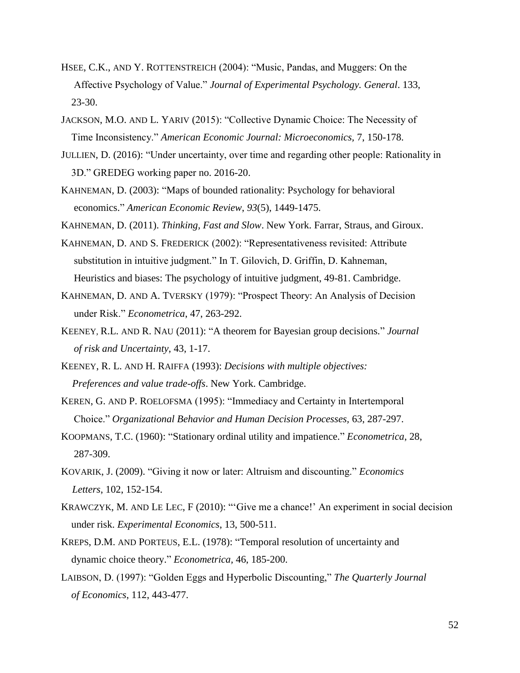- HSEE, C.K., AND Y. ROTTENSTREICH (2004): "Music, Pandas, and Muggers: On the Affective Psychology of Value." *Journal of Experimental Psychology. General*. 133, 23-30.
- JACKSON, M.O. AND L. YARIV (2015): "Collective Dynamic Choice: The Necessity of Time Inconsistency." *American Economic Journal: Microeconomics,* 7, 150-178.
- JULLIEN, D. (2016): "Under uncertainty, over time and regarding other people: Rationality in 3D." GREDEG working paper no. 2016-20.
- KAHNEMAN, D. (2003): "Maps of bounded rationality: Psychology for behavioral economics." *American Economic Review*, *93*(5), 1449-1475.
- KAHNEMAN, D. (2011). *Thinking, Fast and Slow*. New York. Farrar, Straus, and Giroux.
- KAHNEMAN, D. AND S. FREDERICK (2002): "Representativeness revisited: Attribute substitution in intuitive judgment." In T. Gilovich, D. Griffin, D. Kahneman, Heuristics and biases: The psychology of intuitive judgment, 49-81. Cambridge.
- KAHNEMAN, D. AND A. TVERSKY (1979): "Prospect Theory: An Analysis of Decision under Risk." *Econometrica*, 47, 263-292.
- KEENEY, R.L. AND R. NAU (2011): "A theorem for Bayesian group decisions." *Journal of risk and Uncertainty*, 43, 1-17.
- KEENEY, R. L. AND H. RAIFFA (1993): *Decisions with multiple objectives: Preferences and value trade-offs*. New York. Cambridge.
- KEREN, G. AND P. ROELOFSMA (1995): "Immediacy and Certainty in Intertemporal Choice." *Organizational Behavior and Human Decision Processes,* 63, 287-297.
- KOOPMANS, T.C. (1960): "Stationary ordinal utility and impatience." *Econometrica*, 28, 287-309.
- KOVARIK, J. (2009). "Giving it now or later: Altruism and discounting." *Economics Letters*, 102, 152-154.
- KRAWCZYK, M. AND LE LEC, F (2010): "'Give me a chance!' An experiment in social decision under risk. *Experimental Economics*, 13, 500-511.
- KREPS, D.M. AND PORTEUS, E.L. (1978): "Temporal resolution of uncertainty and dynamic choice theory." *Econometrica,* 46, 185-200.
- LAIBSON, D. (1997): "Golden Eggs and Hyperbolic Discounting," *The Quarterly Journal of Economics*, 112, 443-477.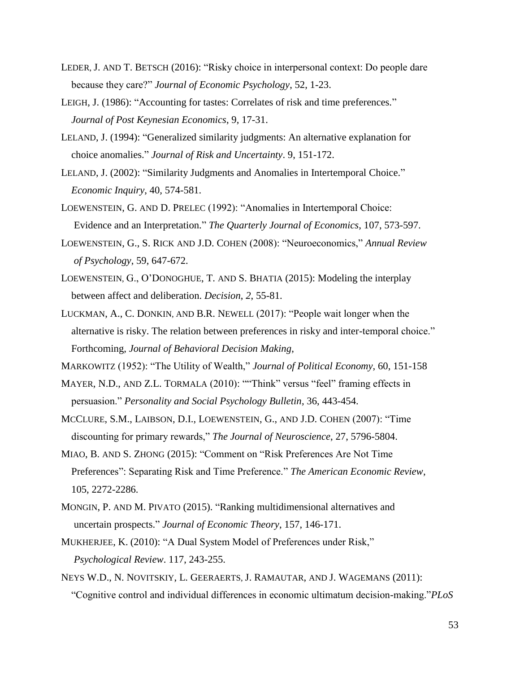- LEDER, J. AND T. BETSCH (2016): "Risky choice in interpersonal context: Do people dare because they care?" *Journal of Economic Psychology*, 52, 1-23.
- LEIGH, J. (1986): "Accounting for tastes: Correlates of risk and time preferences." *Journal of Post Keynesian Economics*, 9, 17-31.
- LELAND, J. (1994): "Generalized similarity judgments: An alternative explanation for choice anomalies." *Journal of Risk and Uncertainty*. 9, 151-172.
- LELAND, J. (2002): "Similarity Judgments and Anomalies in Intertemporal Choice." *Economic Inquiry*, 40*,* 574-581.
- LOEWENSTEIN, G. AND D. PRELEC (1992): "Anomalies in Intertemporal Choice: Evidence and an Interpretation." *The Quarterly Journal of Economics*, 107, 573-597.
- LOEWENSTEIN, G., S. RICK AND J.D. COHEN (2008): "Neuroeconomics," *Annual Review of Psychology*, 59, 647-672.
- LOEWENSTEIN, G., O'DONOGHUE, T. AND S. BHATIA (2015): Modeling the interplay between affect and deliberation. *Decision*, *2*, 55-81.
- LUCKMAN, A., C. DONKIN, AND B.R. NEWELL (2017): "People wait longer when the alternative is risky. The relation between preferences in risky and inter-temporal choice." Forthcoming, *Journal of Behavioral Decision Making*,
- MARKOWITZ (1952): "The Utility of Wealth," *Journal of Political Economy*, 60, 151-158
- MAYER, N.D., AND Z.L. TORMALA (2010): ""Think" versus "feel" framing effects in persuasion." *Personality and Social Psychology Bulletin*, 36, 443-454.
- MCCLURE, S.M., LAIBSON, D.I., LOEWENSTEIN, G., AND J.D. COHEN (2007): "Time discounting for primary rewards," *The Journal of Neuroscience*, 27, 5796-5804.
- MIAO, B. AND S. ZHONG (2015): "Comment on "Risk Preferences Are Not Time Preferences": Separating Risk and Time Preference." *The American Economic Review*, 105, 2272-2286.
- MONGIN, P. AND M. PIVATO (2015). "Ranking multidimensional alternatives and uncertain prospects." *Journal of Economic Theory*, 157, 146-171.
- MUKHERJEE, K. (2010): "A Dual System Model of Preferences under Risk," *Psychological Review*. 117, 243-255.
- NEYS W.D., N. NOVITSKIY, L. GEERAERTS, J. RAMAUTAR, AND J. WAGEMANS (2011): "Cognitive control and individual differences in economic ultimatum decision-making."*PLoS*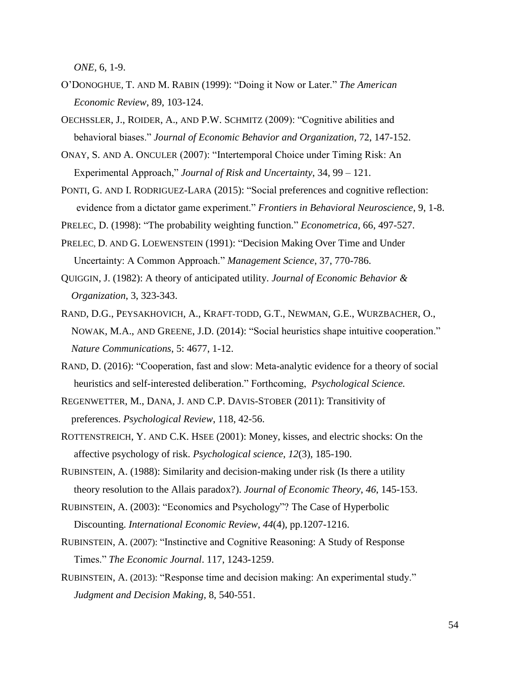*ONE*, 6, 1-9.

- O'DONOGHUE, T. AND M. RABIN (1999): "Doing it Now or Later." *The American Economic Review*, 89, 103-124.
- OECHSSLER, J., ROIDER, A., AND P.W. SCHMITZ (2009): "Cognitive abilities and behavioral biases." *Journal of Economic Behavior and Organization,* 72, 147-152.
- ONAY, S. AND A. ONCULER (2007): "Intertemporal Choice under Timing Risk: An Experimental Approach," *Journal of Risk and Uncertainty*, 34, 99 – 121.
- PONTI, G. AND I. RODRIGUEZ-LARA (2015): "Social preferences and cognitive reflection: evidence from a dictator game experiment." *Frontiers in Behavioral Neuroscience*, 9, 1-8.
- PRELEC, D. (1998): "The probability weighting function." *Econometrica*, 66, 497-527.
- PRELEC, D. AND G. LOEWENSTEIN (1991): "Decision Making Over Time and Under Uncertainty: A Common Approach." *Management Science*, 37, 770-786.
- QUIGGIN, J. (1982): A theory of anticipated utility. *Journal of Economic Behavior & Organization*, 3, 323-343.
- RAND, D.G., PEYSAKHOVICH, A., KRAFT-TODD, G.T., NEWMAN, G.E., WURZBACHER, O., NOWAK, M.A., AND GREENE, J.D. (2014): "Social heuristics shape intuitive cooperation." *Nature Communications*, 5: 4677, 1-12.
- RAND, D. (2016): "Cooperation, fast and slow: Meta-analytic evidence for a theory of social heuristics and self-interested deliberation." Forthcoming, *Psychological Science.*
- REGENWETTER, M., DANA, J. AND C.P. DAVIS-STOBER (2011): Transitivity of preferences. *Psychological Review*, 118, 42-56.
- ROTTENSTREICH, Y. AND C.K. HSEE (2001): Money, kisses, and electric shocks: On the affective psychology of risk. *Psychological science*, *12*(3), 185-190.
- RUBINSTEIN, A. (1988): Similarity and decision-making under risk (Is there a utility theory resolution to the Allais paradox?). *Journal of Economic Theory*, *46*, 145-153.
- RUBINSTEIN, A. (2003): "Economics and Psychology"? The Case of Hyperbolic Discounting. *International Economic Review*, *44*(4), pp.1207-1216.
- RUBINSTEIN, A. (2007): "Instinctive and Cognitive Reasoning: A Study of Response Times." *The Economic Journal*. 117, 1243-1259.
- RUBINSTEIN, A. (2013): "Response time and decision making: An experimental study."  *Judgment and Decision Making,* 8, 540-551.